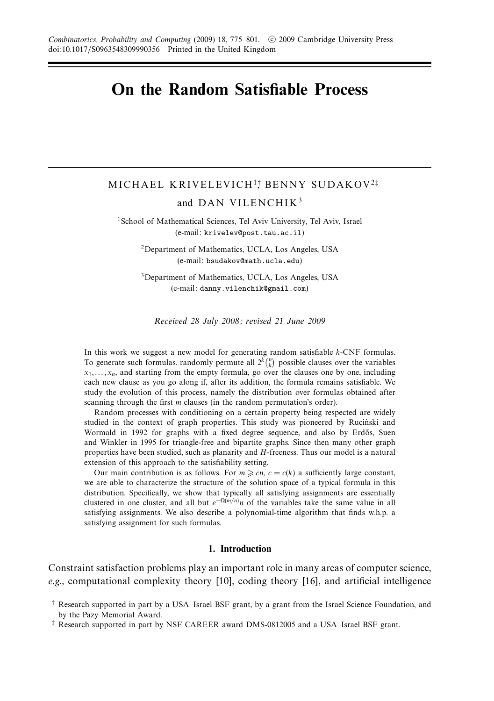# **On the Random Satisfiable Process**

# MICHAEL KRIVELEVICH<sup>1</sup>† , BENNY SUDAKOV<sup>2</sup>‡ and DAN VILENCHIK<sup>3</sup>

<sup>1</sup>School of Mathematical Sciences, Tel Aviv University, Tel Aviv, Israel (e-mail: krivelev@post.tau.ac.il)

2Department of Mathematics, UCLA, Los Angeles, USA (e-mail: bsudakov@math.ucla.edu)

3Department of Mathematics, UCLA, Los Angeles, USA (e-mail: danny.vilenchik@gmail.com)

Received 28 July 2008; revised 21 June 2009

In this work we suggest a new model for generating random satisfiable *k*-CNF formulas. To generate such formulas. randomly permute all  $2^k {n \choose k}$  possible clauses over the variables  $x_1, \ldots, x_n$ , and starting from the empty formula, go over the clauses one by one, including each new clause as you go along if, after its addition, the formula remains satisfiable. We study the evolution of this process, namely the distribution over formulas obtained after scanning through the first *m* clauses (in the random permutation's order).

Random processes with conditioning on a certain property being respected are widely studied in the context of graph properties. This study was pioneered by Ruciński and Wormald in 1992 for graphs with a fixed degree sequence, and also by Erdős, Suen and Winkler in 1995 for triangle-free and bipartite graphs. Since then many other graph properties have been studied, such as planarity and *H*-freeness. Thus our model is a natural extension of this approach to the satisfiability setting.

Our main contribution is as follows. For  $m \geqslant cn$ ,  $c = c(k)$  a sufficiently large constant, we are able to characterize the structure of the solution space of a typical formula in this distribution. Specifically, we show that typically all satisfying assignments are essentially clustered in one cluster, and all but  $e^{-\Omega(m/n)}n$  of the variables take the same value in all satisfying assignments. We also describe a polynomial-time algorithm that finds w.h.p. a satisfying assignment for such formulas.

# **1. Introduction**

Constraint satisfaction problems play an important role in many areas of computer science, e.g., computational complexity theory  $[10]$ , coding theory  $[16]$ , and artificial intelligence

<sup>†</sup> Research supported in part by a USA–Israel BSF grant, by a grant from the Israel Science Foundation, and by the Pazy Memorial Award.

<sup>‡</sup> Research supported in part by NSF CAREER award DMS-0812005 and a USA–Israel BSF grant.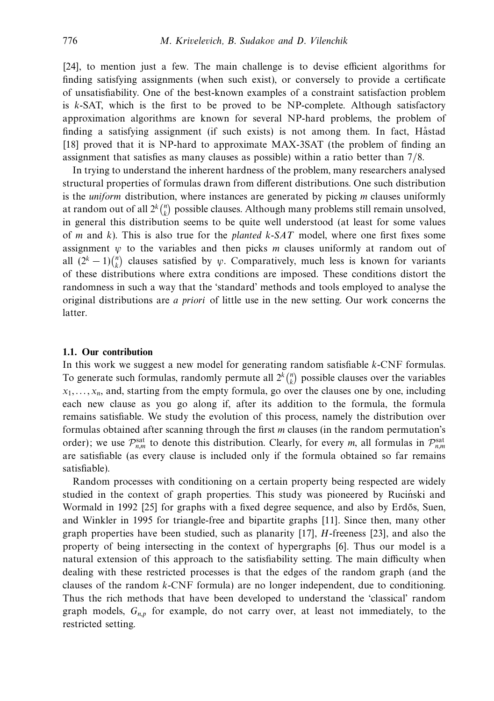[24], to mention just a few. The main challenge is to devise efficient algorithms for finding satisfying assignments (when such exist), or conversely to provide a certificate of unsatisfiability. One of the best-known examples of a constraint satisfaction problem is *k*-SAT, which is the first to be proved to be NP-complete. Although satisfactory approximation algorithms are known for several NP-hard problems, the problem of finding a satisfying assignment (if such exists) is not among them. In fact, Håstad [18] proved that it is NP-hard to approximate MAX-3SAT (the problem of finding an assignment that satisfies as many clauses as possible) within a ratio better than 7/8.

In trying to understand the inherent hardness of the problem, many researchers analysed structural properties of formulas drawn from different distributions. One such distribution is the uniform distribution, where instances are generated by picking *m* clauses uniformly at random out of all  $2^k {n \choose k}$  possible clauses. Although many problems still remain unsolved, in general this distribution seems to be quite well understood (at least for some values of *m* and *k*). This is also true for the planted *k*-SAT model, where one first fixes some assignment *ψ* to the variables and then picks *m* clauses uniformly at random out of all  $(2<sup>k</sup> - 1)$ <sup>n</sup>/<sub>k</sub>) clauses satisfied by *ψ*. Comparatively, much less is known for variants of these distributions where extra conditions are imposed. These conditions distort the randomness in such a way that the 'standard' methods and tools employed to analyse the original distributions are a priori of little use in the new setting. Our work concerns the latter.

# **1.1. Our contribution**

In this work we suggest a new model for generating random satisfiable *k*-CNF formulas. To generate such formulas, randomly permute all  $2^k {n \choose k}$  possible clauses over the variables  $x_1, \ldots, x_n$ , and, starting from the empty formula, go over the clauses one by one, including each new clause as you go along if, after its addition to the formula, the formula remains satisfiable. We study the evolution of this process, namely the distribution over formulas obtained after scanning through the first *m* clauses (in the random permutation's order); we use  $\mathcal{P}_{n,m}^{\text{sat}}$  to denote this distribution. Clearly, for every *m*, all formulas in  $\mathcal{P}_{n,m}^{\text{sat}}$ are satisfiable (as every clause is included only if the formula obtained so far remains satisfiable).

Random processes with conditioning on a certain property being respected are widely studied in the context of graph properties. This study was pioneered by Rucinski and Wormald in 1992 [25] for graphs with a fixed degree sequence, and also by Erdős, Suen, and Winkler in 1995 for triangle-free and bipartite graphs [11]. Since then, many other graph properties have been studied, such as planarity [17], *H*-freeness [23], and also the property of being intersecting in the context of hypergraphs [6]. Thus our model is a natural extension of this approach to the satisfiability setting. The main difficulty when dealing with these restricted processes is that the edges of the random graph (and the clauses of the random *k*-CNF formula) are no longer independent, due to conditioning. Thus the rich methods that have been developed to understand the 'classical' random graph models,  $G_{n,p}$  for example, do not carry over, at least not immediately, to the restricted setting.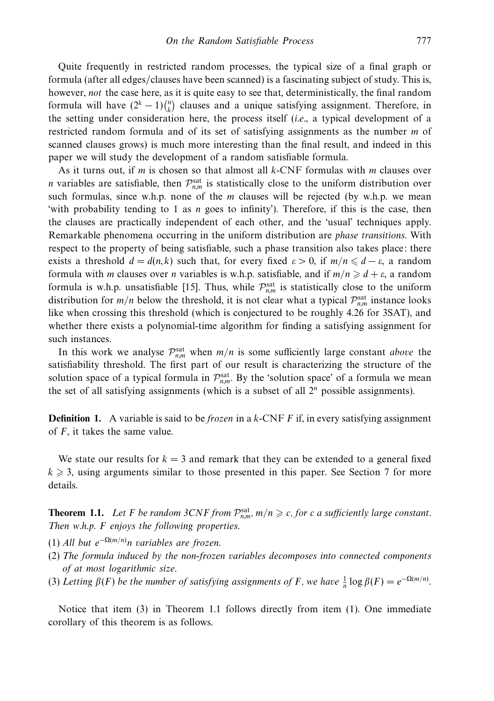Quite frequently in restricted random processes, the typical size of a final graph or formula (after all edges/clauses have been scanned) is a fascinating subject of study. This is, however, not the case here, as it is quite easy to see that, deterministically, the final random formula will have  $(2<sup>k</sup> - 1)$  $\binom{n}{k}$  clauses and a unique satisfying assignment. Therefore, in the setting under consideration here, the process itself (i.e., a typical development of a restricted random formula and of its set of satisfying assignments as the number *m* of scanned clauses grows) is much more interesting than the final result, and indeed in this paper we will study the development of a random satisfiable formula.

As it turns out, if *m* is chosen so that almost all *k*-CNF formulas with *m* clauses over *n* variables are satisfiable, then  $\mathcal{P}_{n,m}^{\text{sat}}$  is statistically close to the uniform distribution over such formulas, since w.h.p. none of the *m* clauses will be rejected (by w.h.p. we mean 'with probability tending to 1 as *n* goes to infinity'). Therefore, if this is the case, then the clauses are practically independent of each other, and the 'usual' techniques apply. Remarkable phenomena occurring in the uniform distribution are phase transitions. With respect to the property of being satisfiable, such a phase transition also takes place: there exists a threshold  $d = d(n, k)$  such that, for every fixed  $\varepsilon > 0$ , if  $m/n \leq d - \varepsilon$ , a random formula with *m* clauses over *n* variables is w.h.p. satisfiable, and if  $m/n \ge d + \varepsilon$ , a random formula is w.h.p. unsatisfiable [15]. Thus, while  $\mathcal{P}_{n,m}^{\text{sat}}$  is statistically close to the uniform distribution for  $m/n$  below the threshold, it is not clear what a typical  $\mathcal{P}_{n,m}^{\text{sat}}$  instance looks like when crossing this threshold (which is conjectured to be roughly 4.26 for 3SAT), and whether there exists a polynomial-time algorithm for finding a satisfying assignment for such instances.

In this work we analyse  $\mathcal{P}_{n,m}^{\text{sat}}$  when  $m/n$  is some sufficiently large constant *above* the satisfiability threshold. The first part of our result is characterizing the structure of the solution space of a typical formula in  $\mathcal{P}_{n,m}^{\text{sat}}$ . By the 'solution space' of a formula we mean the set of all satisfying assignments (which is a subset of all 2*<sup>n</sup>* possible assignments).

**Definition 1.** A variable is said to be *frozen* in a *k*-CNF *F* if, in every satisfying assignment of *F*, it takes the same value.

We state our results for  $k = 3$  and remark that they can be extended to a general fixed  $k \geqslant 3$ , using arguments similar to those presented in this paper. See Section 7 for more details.

**Theorem 1.1.** Let *F* be random 3CNF from  $\mathcal{P}_{n,m}^{\text{sat}}$ ,  $m/n \geq c$ , for *c* a sufficiently large constant. Then w.h.p. *F* enjoys the following properties.

- (1) All but *e*<sup>−</sup>Ω(*m/n*) *n* variables are frozen.
- (2) The formula induced by the non-frozen variables decomposes into connected components of at most logarithmic size.
- (3) Letting  $\beta(F)$  be the number of satisfying assignments of *F*, we have  $\frac{1}{n} \log \beta(F) = e^{-\Omega(m/n)}$ .

Notice that item (3) in Theorem 1.1 follows directly from item (1). One immediate corollary of this theorem is as follows.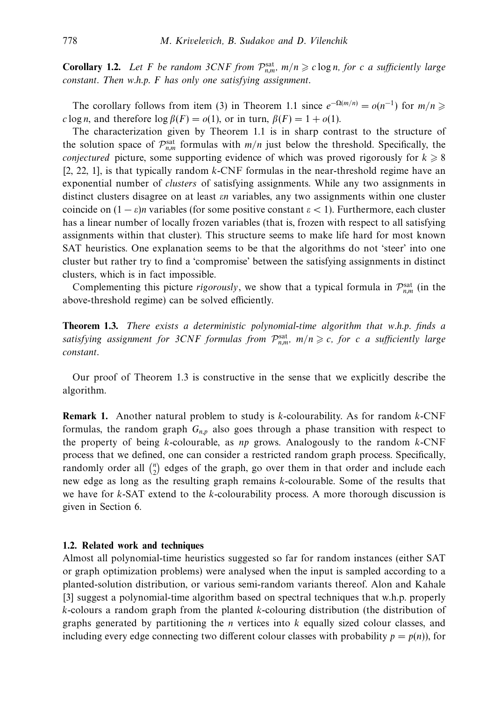**Corollary 1.2.** Let *F* be random 3CNF from  $\mathcal{P}_{n,m}^{\text{sat}}$ ,  $m/n \ge c \log n$ , for *c* a sufficiently large constant. Then w.h.p. *F* has only one satisfying assignment.

The corollary follows from item (3) in Theorem 1.1 since  $e^{-\Omega(m/n)} = o(n^{-1})$  for  $m/n \geq$ *c* log *n*, and therefore log  $\beta(F) = o(1)$ , or in turn,  $\beta(F) = 1 + o(1)$ .

The characterization given by Theorem 1.1 is in sharp contrast to the structure of the solution space of  $\mathcal{P}_{n,m}^{\text{sat}}$  formulas with  $m/n$  just below the threshold. Specifically, the *conjectured* picture, some supporting evidence of which was proved rigorously for  $k \geq 8$ [2, 22, 1], is that typically random *k*-CNF formulas in the near-threshold regime have an exponential number of *clusters* of satisfying assignments. While any two assignments in distinct clusters disagree on at least *εn* variables, any two assignments within one cluster coincide on  $(1 - \varepsilon)n$  variables (for some positive constant  $\varepsilon < 1$ ). Furthermore, each cluster has a linear number of locally frozen variables (that is, frozen with respect to all satisfying assignments within that cluster). This structure seems to make life hard for most known SAT heuristics. One explanation seems to be that the algorithms do not 'steer' into one cluster but rather try to find a 'compromise' between the satisfying assignments in distinct clusters, which is in fact impossible.

Complementing this picture *rigorously*, we show that a typical formula in  $\mathcal{P}_{n,m}^{\text{sat}}$  (in the above-threshold regime) can be solved efficiently.

**Theorem 1.3.** There exists a deterministic polynomial-time algorithm that w.h.p. finds a satisfying assignment for 3CNF formulas from  $\mathcal{P}_{n,m}^{\text{sat}}$ ,  $m/n \geqslant c$ , for *c* a sufficiently large constant.

Our proof of Theorem 1.3 is constructive in the sense that we explicitly describe the algorithm.

**Remark 1.** Another natural problem to study is *k*-colourability. As for random *k*-CNF formulas, the random graph  $G_{n,p}$  also goes through a phase transition with respect to the property of being *k*-colourable, as *np* grows. Analogously to the random *k*-CNF process that we defined, one can consider a restricted random graph process. Specifically, randomly order all  $\binom{n}{2}$  edges of the graph, go over them in that order and include each new edge as long as the resulting graph remains *k*-colourable. Some of the results that we have for *k*-SAT extend to the *k*-colourability process. A more thorough discussion is given in Section 6.

# **1.2. Related work and techniques**

Almost all polynomial-time heuristics suggested so far for random instances (either SAT or graph optimization problems) were analysed when the input is sampled according to a planted-solution distribution, or various semi-random variants thereof. Alon and Kahale [3] suggest a polynomial-time algorithm based on spectral techniques that w.h.p. properly *k*-colours a random graph from the planted *k*-colouring distribution (the distribution of graphs generated by partitioning the *n* vertices into *k* equally sized colour classes, and including every edge connecting two different colour classes with probability  $p = p(n)$ , for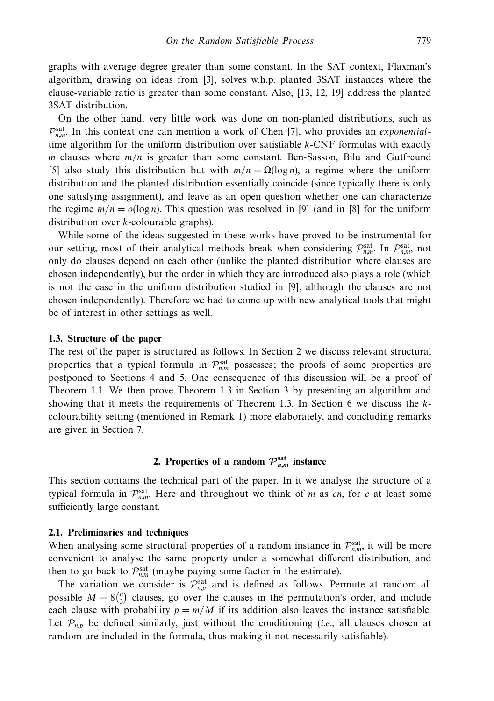graphs with average degree greater than some constant. In the SAT context, Flaxman's algorithm, drawing on ideas from [3], solves w.h.p. planted 3SAT instances where the clause-variable ratio is greater than some constant. Also, [13, 12, 19] address the planted 3SAT distribution.

On the other hand, very little work was done on non-planted distributions, such as  $\mathcal{P}_{n,m}^{\text{sat}}$ . In this context one can mention a work of Chen [7], who provides an *exponential*time algorithm for the uniform distribution over satisfiable *k*-CNF formulas with exactly *m* clauses where *m/n* is greater than some constant. Ben-Sasson, Bilu and Gutfreund [5] also study this distribution but with  $m/n = \Omega(\log n)$ , a regime where the uniform distribution and the planted distribution essentially coincide (since typically there is only one satisfying assignment), and leave as an open question whether one can characterize the regime  $m/n = o(\log n)$ . This question was resolved in [9] (and in [8] for the uniform distribution over *k*-colourable graphs).

While some of the ideas suggested in these works have proved to be instrumental for our setting, most of their analytical methods break when considering  $\mathcal{P}_{n,m}^{\text{sat}}$ . In  $\mathcal{P}_{n,m}^{\text{sat}}$ , not only do clauses depend on each other (unlike the planted distribution where clauses are chosen independently), but the order in which they are introduced also plays a role (which is not the case in the uniform distribution studied in [9], although the clauses are not chosen independently). Therefore we had to come up with new analytical tools that might be of interest in other settings as well.

# **1.3. Structure of the paper**

The rest of the paper is structured as follows. In Section 2 we discuss relevant structural properties that a typical formula in  $\mathcal{P}_{n,m}^{\text{sat}}$  possesses; the proofs of some properties are postponed to Sections 4 and 5. One consequence of this discussion will be a proof of Theorem 1.1. We then prove Theorem 1.3 in Section 3 by presenting an algorithm and showing that it meets the requirements of Theorem 1.3. In Section 6 we discuss the *k*colourability setting (mentioned in Remark 1) more elaborately, and concluding remarks are given in Section 7.

# **2.** Properties of a random  $\mathcal{P}_{n,m}^{\text{sat}}$  instance

This section contains the technical part of the paper. In it we analyse the structure of a typical formula in  $\mathcal{P}_{n,m}^{\text{sat}}$ . Here and throughout we think of *m* as *cn*, for *c* at least some sufficiently large constant.

#### **2.1. Preliminaries and techniques**

When analysing some structural properties of a random instance in  $\mathcal{P}_{n,m}^{\text{sat}}$ , it will be more convenient to analyse the same property under a somewhat different distribution, and then to go back to  $\mathcal{P}_{n,m}^{\text{sat}}$  (maybe paying some factor in the estimate).

The variation we consider is  $\mathcal{P}_{n,p}^{\text{sat}}$  and is defined as follows. Permute at random all possible  $M = 8\binom{n}{3}$  clauses, go over the clauses in the permutation's order, and include each clause with probability  $p = m/M$  if its addition also leaves the instance satisfiable. Let  $\mathcal{P}_{n,p}$  be defined similarly, just without the conditioning (*i.e.*, all clauses chosen at random are included in the formula, thus making it not necessarily satisfiable).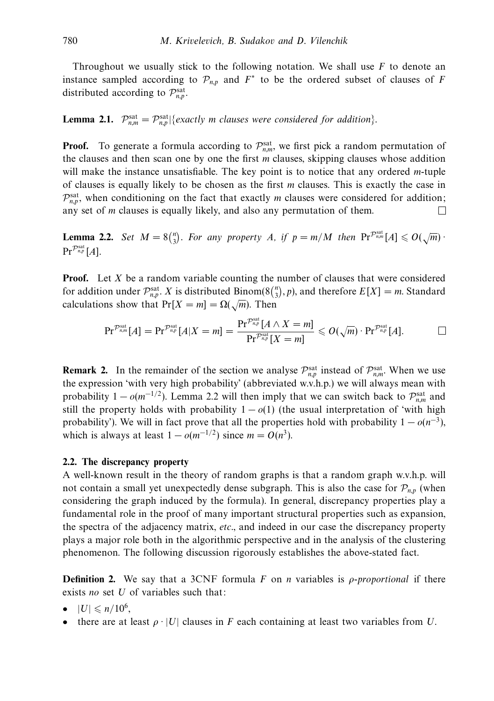Throughout we usually stick to the following notation. We shall use *F* to denote an instance sampled according to  $\mathcal{P}_{n,p}$  and  $F^*$  to be the ordered subset of clauses of *F* distributed according to  $\mathcal{P}_{n,p}^{\text{sat}}$ .

**Lemma 2.1.**  $\mathcal{P}_{n,m}^{\text{sat}} = \mathcal{P}_{n,p}^{\text{sat}}|\{\text{exactly } m \text{ clauses were considered for addition}\}\.$ 

**Proof.** To generate a formula according to  $\mathcal{P}_{n,m}^{\text{sat}}$ , we first pick a random permutation of the clauses and then scan one by one the first *m* clauses, skipping clauses whose addition will make the instance unsatisfiable. The key point is to notice that any ordered *m*-tuple of clauses is equally likely to be chosen as the first *m* clauses. This is exactly the case in  $\mathcal{P}_{n,p}^{\text{sat}}$ , when conditioning on the fact that exactly *m* clauses were considered for addition; any set of *m* clauses is equally likely, and also any permutation of them.  $\Box$ 

**Lemma 2.2.** Set  $M = 8\binom{n}{3}$ . For any property *A*, if  $p = m/M$  then  $\Pr^{\mathcal{P}_{n,m}^{\text{sat}}}[A] \leq O(\sqrt{m})$ .  $\mathrm{Pr}^{\mathcal{P}_{n,p}^{\mathrm{sat}}}[A].$ 

**Proof.** Let *X* be a random variable counting the number of clauses that were considered for addition under  $\mathcal{P}_{n,p}^{\text{sat}}$ . *X* is distributed Binom(8 $\binom{n}{3}$ , *p*), and therefore  $E[X] = m$ . Standard calculations show that  $Pr[X = m] = \Omega(\sqrt{m})$ . Then

$$
\text{Pr}^{\mathcal{P}_{n,m}^{\text{sat}}}[A]=\text{Pr}^{\mathcal{P}_{n,p}^{\text{sat}}}[A|X=m]=\frac{\text{Pr}^{\mathcal{P}_{n,p}^{\text{sat}}}[A\wedge X=m]}{\text{Pr}^{\mathcal{P}_{n,p}^{\text{sat}}}[X=m]}\leqslant O(\sqrt{m})\cdot\text{Pr}^{\mathcal{P}_{n,p}^{\text{sat}}}[A].\qquad \qquad \Box
$$

**Remark 2.** In the remainder of the section we analyse  $\mathcal{P}_{n,p}^{\text{sat}}$  instead of  $\mathcal{P}_{n,m}^{\text{sat}}$ . When we use the expression 'with very high probability' (abbreviated w.v.h.p.) we will always mean with probability  $1 - o(m^{-1/2})$ . Lemma 2.2 will then imply that we can switch back to  $\mathcal{P}_{n,m}^{\text{sat}}$  and still the property holds with probability  $1 - o(1)$  (the usual interpretation of 'with high probability'). We will in fact prove that all the properties hold with probability  $1 - o(n^{-3})$ , which is always at least  $1 - o(m^{-1/2})$  since  $m = O(n^3)$ .

# **2.2. The discrepancy property**

A well-known result in the theory of random graphs is that a random graph w.v.h.p. will not contain a small yet unexpectedly dense subgraph. This is also the case for  $\mathcal{P}_{n,p}$  (when considering the graph induced by the formula). In general, discrepancy properties play a fundamental role in the proof of many important structural properties such as expansion, the spectra of the adjacency matrix, etc., and indeed in our case the discrepancy property plays a major role both in the algorithmic perspective and in the analysis of the clustering phenomenon. The following discussion rigorously establishes the above-stated fact.

**Definition 2.** We say that a 3CNF formula *F* on *n* variables is *ρ-proportional* if there exists no set *U* of variables such that:

- $\bullet$   $|U| \leqslant n/10^6$ ,
- there are at least  $\rho \cdot |U|$  clauses in *F* each containing at least two variables from *U*.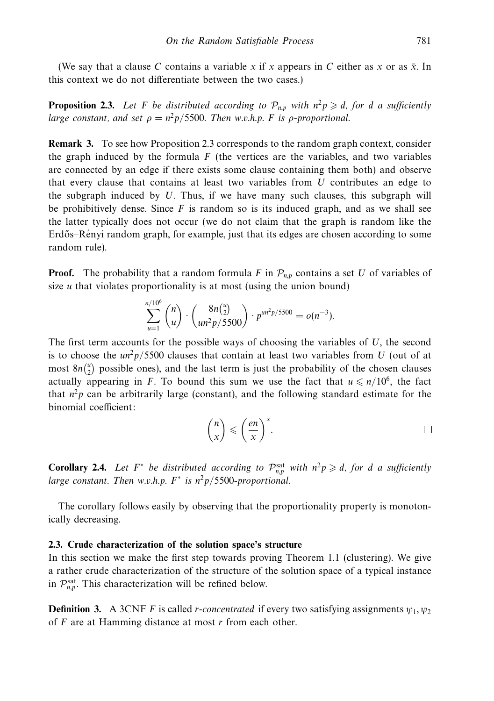(We say that a clause C contains a variable x if x appears in C either as x or as  $\bar{x}$ . In this context we do not differentiate between the two cases.)

**Proposition 2.3.** Let F be distributed according to  $\mathcal{P}_{n,p}$  with  $n^2p \geq d$ , for *d* a sufficiently large constant, and set  $\rho = n^2 p / 5500$ . Then w.v.h.p. *F* is  $\rho$ -proportional.

**Remark 3.** To see how Proposition 2.3 corresponds to the random graph context, consider the graph induced by the formula  $F$  (the vertices are the variables, and two variables are connected by an edge if there exists some clause containing them both) and observe that every clause that contains at least two variables from *U* contributes an edge to the subgraph induced by *U*. Thus, if we have many such clauses, this subgraph will be prohibitively dense. Since  $F$  is random so is its induced graph, and as we shall see the latter typically does not occur (we do not claim that the graph is random like the Erdős–Rényi random graph, for example, just that its edges are chosen according to some random rule).

**Proof.** The probability that a random formula *F* in  $\mathcal{P}_{n,p}$  contains a set *U* of variables of size *u* that violates proportionality is at most (using the union bound)

$$
\sum_{u=1}^{n/10^6} {n \choose u} \cdot {8n {u \choose 2} \choose un^2 p/5500} \cdot p^{un^2 p/5500} = o(n^{-3}).
$$

The first term accounts for the possible ways of choosing the variables of *U*, the second is to choose the  $un^2p/5500$  clauses that contain at least two variables from *U* (out of at most  $8n\binom{u}{2}$  possible ones), and the last term is just the probability of the chosen clauses actually appearing in *F*. To bound this sum we use the fact that  $u \le n/10^6$ , the fact that  $n^2p$  can be arbitrarily large (constant), and the following standard estimate for the binomial coefficient:

$$
\binom{n}{x} \leqslant \left(\frac{en}{x}\right)^x.
$$

**Corollary 2.4.** Let  $F^*$  be distributed according to  $\mathcal{P}_{n,p}^{\text{sat}}$  with  $n^2p \geq d$ , for *d* a sufficiently large constant. Then w.v.h.p.  $F^*$  is  $n^2p/5500$ -proportional.

The corollary follows easily by observing that the proportionality property is monotonically decreasing.

# **2.3. Crude characterization of the solution space's structure**

*n/*10

In this section we make the first step towards proving Theorem 1.1 (clustering). We give a rather crude characterization of the structure of the solution space of a typical instance in  $\mathcal{P}_{n,p}^{\text{sat}}$ . This characterization will be refined below.

**Definition 3.** A 3CNF *F* is called *r*-concentrated if every two satisfying assignments  $\psi_1, \psi_2$ of *F* are at Hamming distance at most *r* from each other.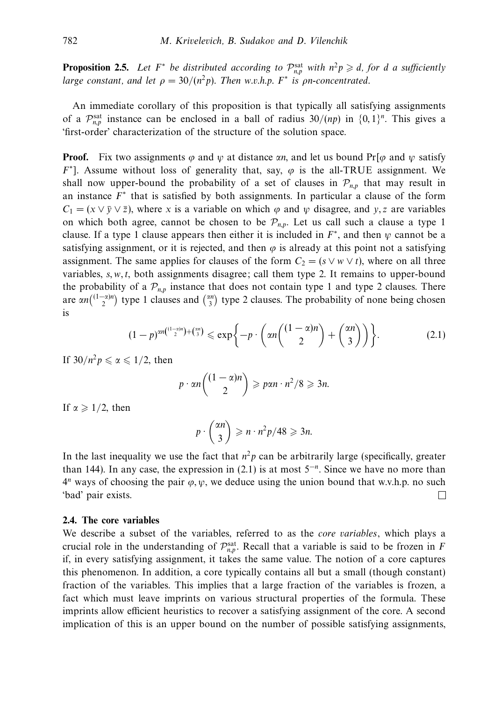**Proposition 2.5.** Let  $F^*$  be distributed according to  $\mathcal{P}_{n,p}^{\text{sat}}$  with  $n^2p \geq d$ , for *d* a sufficiently large constant, and let  $\rho = 30/(n^2p)$ . Then w.v.h.p.  $F^*$  is  $\rho n$ -concentrated.

An immediate corollary of this proposition is that typically all satisfying assignments of a  $\mathcal{P}_{n,p}^{\text{sat}}$  instance can be enclosed in a ball of radius  $30/(np)$  in  $\{0,1\}^n$ . This gives a 'first-order' characterization of the structure of the solution space.

**Proof.** Fix two assignments *ϕ* and *ψ* at distance *αn*, and let us bound Pr[*ϕ* and *ψ* satisfy *F*∗]. Assume without loss of generality that, say, *ϕ* is the all-TRUE assignment. We shall now upper-bound the probability of a set of clauses in  $\mathcal{P}_{n,p}$  that may result in an instance  $F^*$  that is satisfied by both assignments. In particular a clause of the form  $C_1 = (x \vee \overline{y} \vee \overline{z})$ , where *x* is a variable on which  $\varphi$  and  $\psi$  disagree, and *y, z* are variables on which both agree, cannot be chosen to be  $\mathcal{P}_{n,p}$ . Let us call such a clause a type 1 clause. If a type 1 clause appears then either it is included in *F*<sup>∗</sup>, and then *ψ* cannot be a satisfying assignment, or it is rejected, and then  $\varphi$  is already at this point not a satisfying assignment. The same applies for clauses of the form  $C_2 = (s \vee w \vee t)$ , where on all three variables, *s, w, t*, both assignments disagree; call them type 2. It remains to upper-bound the probability of a  $\mathcal{P}_{n,p}$  instance that does not contain type 1 and type 2 clauses. There are  $\alpha n \binom{(1-\alpha)n}{2}$  type 1 clauses and  $\binom{\alpha n}{3}$  type 2 clauses. The probability of none being chosen is

$$
(1-p)^{\alpha n\left(\binom{1-\alpha}{2}\right)+\binom{\alpha n}{3}} \leqslant \exp\bigg\{-p\cdot\bigg(\alpha n\binom{(1-\alpha)n}{2}+\binom{\alpha n}{3}\bigg)\bigg\}.\tag{2.1}
$$

If  $30/n^2p \le \alpha \le 1/2$ , then

$$
p \cdot \alpha n \binom{(1-\alpha)n}{2} \geqslant p\alpha n \cdot n^2/8 \geqslant 3n.
$$

If  $\alpha \geqslant 1/2$ , then

$$
p \cdot \binom{\alpha n}{3} \geqslant n \cdot n^2 p / 48 \geqslant 3n.
$$

In the last inequality we use the fact that  $n^2p$  can be arbitrarily large (specifically, greater than 144). In any case, the expression in (2.1) is at most 5<sup>−</sup>*<sup>n</sup>*. Since we have no more than 4*<sup>n</sup>* ways of choosing the pair *ϕ, ψ*, we deduce using the union bound that w.v.h.p. no such 'bad' pair exists.  $\Box$ 

# **2.4. The core variables**

We describe a subset of the variables, referred to as the *core variables*, which plays a crucial role in the understanding of  $\mathcal{P}_{n,p}^{\text{sat}}$ . Recall that a variable is said to be frozen in *F* if, in every satisfying assignment, it takes the same value. The notion of a core captures this phenomenon. In addition, a core typically contains all but a small (though constant) fraction of the variables. This implies that a large fraction of the variables is frozen, a fact which must leave imprints on various structural properties of the formula. These imprints allow efficient heuristics to recover a satisfying assignment of the core. A second implication of this is an upper bound on the number of possible satisfying assignments,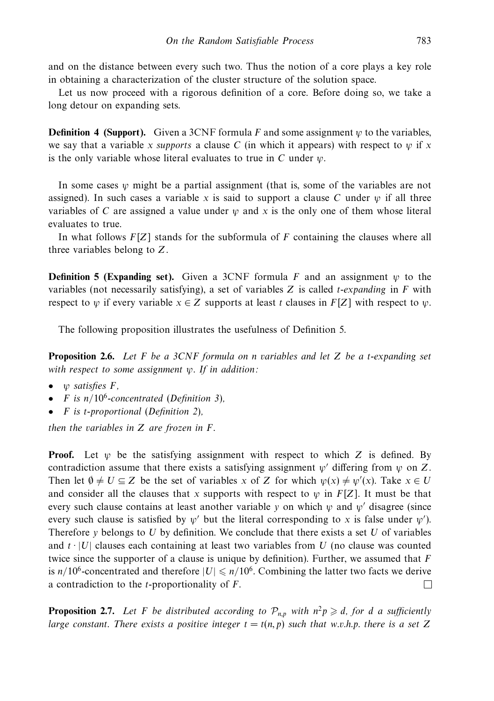and on the distance between every such two. Thus the notion of a core plays a key role in obtaining a characterization of the cluster structure of the solution space.

Let us now proceed with a rigorous definition of a core. Before doing so, we take a long detour on expanding sets.

**Definition 4 (Support).** Given a 3CNF formula *F* and some assignment *ψ* to the variables, we say that a variable *x* supports a clause *C* (in which it appears) with respect to  $\psi$  if *x* is the only variable whose literal evaluates to true in *C* under *ψ*.

In some cases  $\psi$  might be a partial assignment (that is, some of the variables are not assigned). In such cases a variable x is said to support a clause C under  $\psi$  if all three variables of *C* are assigned a value under  $\psi$  and  $\chi$  is the only one of them whose literal evaluates to true.

In what follows  $F[Z]$  stands for the subformula of  $F$  containing the clauses where all three variables belong to *Z*.

**Definition 5 (Expanding set).** Given a 3CNF formula *F* and an assignment  $\psi$  to the variables (not necessarily satisfying), a set of variables *Z* is called *t*-expanding in *F* with respect to  $\psi$  if every variable  $x \in Z$  supports at least *t* clauses in  $F[Z]$  with respect to  $\psi$ .

The following proposition illustrates the usefulness of Definition 5.

**Proposition 2.6.** Let *F* be a 3CNF formula on *n* variables and let *Z* be a *t*-expanding set with respect to some assignment *ψ*. If in addition:

- *ψ* satisfies *F*,
- *F* is  $n/10^6$ -concentrated (Definition 3),
- *F* is *t*-proportional (Definition 2),

then the variables in *Z* are frozen in *F*.

**Proof.** Let *ψ* be the satisfying assignment with respect to which *Z* is defined. By contradiction assume that there exists a satisfying assignment  $\psi'$  differing from  $\psi$  on Z. Then let  $\emptyset \neq U \subseteq Z$  be the set of variables *x* of *Z* for which  $\psi(x) \neq \psi'(x)$ . Take  $x \in U$ and consider all the clauses that *x* supports with respect to *ψ* in *F*[*Z*]. It must be that every such clause contains at least another variable *y* on which  $\psi$  and  $\psi'$  disagree (since every such clause is satisfied by  $\psi'$  but the literal corresponding to *x* is false under  $\psi'$ ). Therefore *y* belongs to *U* by definition. We conclude that there exists a set *U* of variables and  $t \cdot |U|$  clauses each containing at least two variables from U (no clause was counted twice since the supporter of a clause is unique by definition). Further, we assumed that *F* is  $n/10^6$ -concentrated and therefore  $|U| \leq n/10^6$ . Combining the latter two facts we derive a contradiction to the *t*-proportionality of *F*. П

**Proposition 2.7.** Let *F* be distributed according to  $\mathcal{P}_{n,p}$  with  $n^2p \ge d$ , for *d* a sufficiently large constant. There exists a positive integer  $t = t(n, p)$  such that w.v.h.p. there is a set Z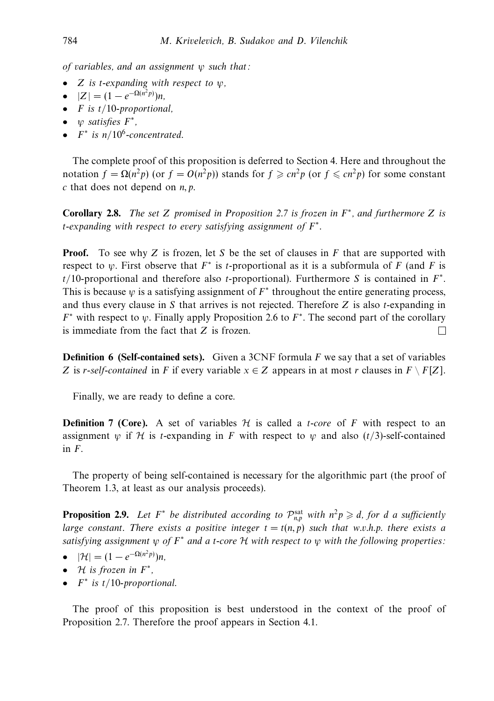of variables, and an assignment *ψ* such that:

- *Z* is *t*-expanding with respect to *ψ*,
- $\bullet$  |*Z*| = (1 − *e*<sup>-Ω(*n*2*p*)</sup>)*n*,
- *F* is *t/*10-proportional,
- *ψ* satisfies *F*∗,
- $F^*$  is  $n/10^6$ -concentrated.

The complete proof of this proposition is deferred to Section 4. Here and throughout the notation  $f = \Omega(n^2p)$  (or  $f = O(n^2p)$ ) stands for  $f \geq cn^2p$  (or  $f \leq cn^2p$ ) for some constant *c* that does not depend on *n, p*.

**Corollary 2.8.** The set *Z* promised in Proposition 2.7 is frozen in *F*<sup>∗</sup>, and furthermore *Z* is *t*-expanding with respect to every satisfying assignment of *F*<sup>∗</sup>.

**Proof.** To see why *Z* is frozen, let *S* be the set of clauses in *F* that are supported with respect to  $\psi$ . First observe that  $F^*$  is *t*-proportional as it is a subformula of *F* (and *F* is *t/*10-proportional and therefore also *t*-proportional). Furthermore *S* is contained in *F*<sup>∗</sup>. This is because *ψ* is a satisfying assignment of *F*<sup>∗</sup> throughout the entire generating process, and thus every clause in *S* that arrives is not rejected. Therefore *Z* is also *t*-expanding in *F*<sup>∗</sup> with respect to *ψ*. Finally apply Proposition 2.6 to *F*<sup>∗</sup>. The second part of the corollary is immediate from the fact that *Z* is frozen.  $\Box$ 

**Definition 6 (Self-contained sets).** Given a 3CNF formula *F* we say that a set of variables *Z* is *r*-self-contained in *F* if every variable  $x \in Z$  appears in at most *r* clauses in  $F \setminus F[Z]$ .

Finally, we are ready to define a core.

**Definition 7 (Core).** A set of variables  $H$  is called a *t*-core of F with respect to an assignment *w* if H is *t*-expanding in F with respect to *w* and also ( $t/3$ )-self-contained in *F*.

The property of being self-contained is necessary for the algorithmic part (the proof of Theorem 1.3, at least as our analysis proceeds).

**Proposition 2.9.** Let  $F^*$  be distributed according to  $\mathcal{P}_{n,p}^{\text{sat}}$  with  $n^2p \geq d$ , for *d* a sufficiently large constant. There exists a positive integer  $t = t(n, p)$  such that w.v.h.p. there exists a satisfying assignment *<sup>ψ</sup>* of *<sup>F</sup>*<sup>∗</sup> and a *<sup>t</sup>*-core <sup>H</sup> with respect to *<sup>ψ</sup>* with the following properties:

- $|\mathcal{H}| = (1 e^{-\Omega(n^2 p)})n$ ,
- <sup>H</sup> is frozen in *<sup>F</sup>*<sup>∗</sup>,
- *F*<sup>∗</sup> is *t/*10-proportional.

The proof of this proposition is best understood in the context of the proof of Proposition 2.7. Therefore the proof appears in Section 4.1.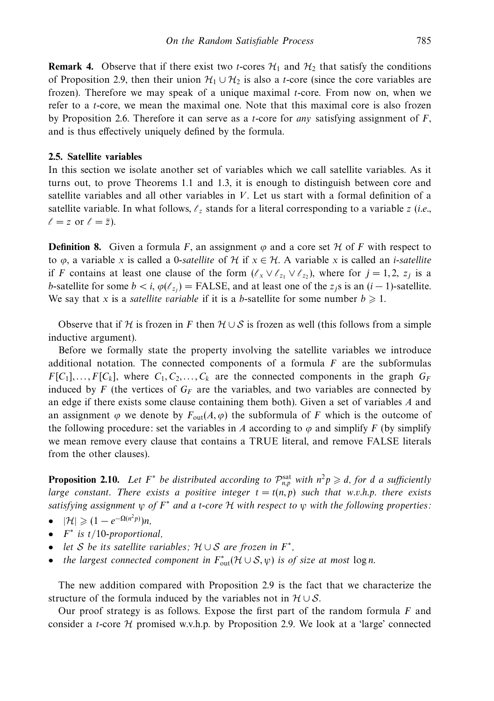**Remark 4.** Observe that if there exist two *t*-cores  $\mathcal{H}_1$  and  $\mathcal{H}_2$  that satisfy the conditions of Proposition 2.9, then their union  $\mathcal{H}_1 \cup \mathcal{H}_2$  is also a *t*-core (since the core variables are frozen). Therefore we may speak of a unique maximal *t*-core. From now on, when we refer to a *t*-core, we mean the maximal one. Note that this maximal core is also frozen by Proposition 2.6. Therefore it can serve as a *t*-core for any satisfying assignment of *F*, and is thus effectively uniquely defined by the formula.

#### **2.5. Satellite variables**

In this section we isolate another set of variables which we call satellite variables. As it turns out, to prove Theorems 1.1 and 1.3, it is enough to distinguish between core and satellite variables and all other variables in *V*. Let us start with a formal definition of a satellite variable. In what follows,  $\ell_z$  stands for a literal corresponding to a variable *z* (*i.e.*,  $\ell = z$  or  $\ell = \overline{z}$ ).

**Definition 8.** Given a formula *F*, an assignment  $\varphi$  and a core set  $\mathcal{H}$  of *F* with respect to to  $\varphi$ , a variable *x* is called a 0-satellite of H if  $x \in \mathcal{H}$ . A variable *x* is called an *i*-satellite if *F* contains at least one clause of the form  $(\ell_x \vee \ell_{z_1} \vee \ell_{z_2})$ , where for  $j = 1, 2, z_j$  is a *b*-satellite for some  $b < i$ ,  $\varphi(\ell_{z_i}) =$  FALSE, and at least one of the *z<sub>j</sub>*s is an  $(i - 1)$ -satellite. We say that *x* is a *satellite variable* if it is a *b*-satellite for some number  $b \ge 1$ .

Observe that if H is frozen in *F* then  $H \cup S$  is frozen as well (this follows from a simple inductive argument).

Before we formally state the property involving the satellite variables we introduce additional notation. The connected components of a formula *F* are the subformulas  $F[C_1], \ldots, F[C_k]$ , where  $C_1, C_2, \ldots, C_k$  are the connected components in the graph  $G_F$ induced by *F* (the vertices of  $G_F$  are the variables, and two variables are connected by an edge if there exists some clause containing them both). Given a set of variables *A* and an assignment  $\varphi$  we denote by  $F_{out}(A, \varphi)$  the subformula of *F* which is the outcome of the following procedure: set the variables in *A* according to  $\varphi$  and simplify *F* (by simplify we mean remove every clause that contains a TRUE literal, and remove FALSE literals from the other clauses).

**Proposition 2.10.** Let  $F^*$  be distributed according to  $\mathcal{P}_{n,p}^{\text{sat}}$  with  $n^2p \geq d$ , for *d* a sufficiently large constant. There exists a positive integer  $t = t(n, p)$  such that w.v.h.p. there exists satisfying assignment  $\psi$  of  $F^*$  and a *t*-core  $\mathcal H$  with respect to  $\psi$  with the following properties:

- $|\mathcal{H}| \geqslant (1 e^{-\Omega(n^2 p)})n,$
- *F*<sup>∗</sup> is *t/*10-proportional,
- let <sup>S</sup> be its satellite variables; <sup>H</sup> <sup>∪</sup> <sup>S</sup> are frozen in *<sup>F</sup>*<sup>∗</sup>,
- the largest connected component in  $F_{\text{out}}^*(\mathcal{H} \cup \mathcal{S}, \psi)$  is of size at most  $\log n$ .

The new addition compared with Proposition 2.9 is the fact that we characterize the structure of the formula induced by the variables not in  $H \cup S$ .

Our proof strategy is as follows. Expose the first part of the random formula *F* and consider a *t*-core H promised w.v.h.p. by Proposition 2.9. We look at a 'large' connected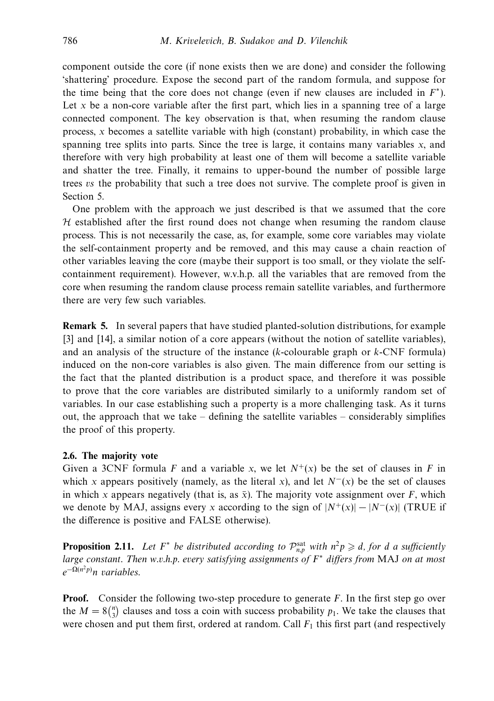component outside the core (if none exists then we are done) and consider the following 'shattering' procedure. Expose the second part of the random formula, and suppose for the time being that the core does not change (even if new clauses are included in  $F^*$ ). Let  $x$  be a non-core variable after the first part, which lies in a spanning tree of a large connected component. The key observation is that, when resuming the random clause process, *x* becomes a satellite variable with high (constant) probability, in which case the spanning tree splits into parts. Since the tree is large, it contains many variables *x*, and therefore with very high probability at least one of them will become a satellite variable and shatter the tree. Finally, it remains to upper-bound the number of possible large trees vs the probability that such a tree does not survive. The complete proof is given in Section 5.

One problem with the approach we just described is that we assumed that the core  $H$  established after the first round does not change when resuming the random clause process. This is not necessarily the case, as, for example, some core variables may violate the self-containment property and be removed, and this may cause a chain reaction of other variables leaving the core (maybe their support is too small, or they violate the selfcontainment requirement). However, w.v.h.p. all the variables that are removed from the core when resuming the random clause process remain satellite variables, and furthermore there are very few such variables.

**Remark 5.** In several papers that have studied planted-solution distributions, for example [3] and [14], a similar notion of a core appears (without the notion of satellite variables), and an analysis of the structure of the instance (*k*-colourable graph or *k*-CNF formula) induced on the non-core variables is also given. The main difference from our setting is the fact that the planted distribution is a product space, and therefore it was possible to prove that the core variables are distributed similarly to a uniformly random set of variables. In our case establishing such a property is a more challenging task. As it turns out, the approach that we take  $-$  defining the satellite variables  $-$  considerably simplifies the proof of this property.

#### **2.6. The majority vote**

Given a 3CNF formula *F* and a variable *x*, we let  $N^+(x)$  be the set of clauses in *F* in which *x* appears positively (namely, as the literal *x*), and let  $N^{-}(x)$  be the set of clauses in which *x* appears negatively (that is, as  $\bar{x}$ ). The majority vote assignment over *F*, which we denote by MAJ, assigns every *x* according to the sign of  $|N^+(x)| - |N^-(x)|$  (TRUE if the difference is positive and FALSE otherwise).

**Proposition 2.11.** Let  $F^*$  be distributed according to  $\mathcal{P}_{n,p}^{\text{sat}}$  with  $n^2p \geq d$ , for *d* a sufficiently large constant. Then w.v.h.p. every satisfying assignments of *F*<sup>∗</sup> differs from MAJ on at most *e*<sup>−</sup>Ω(*n*2*p*) *n* variables.

**Proof.** Consider the following two-step procedure to generate *F*. In the first step go over the  $M = 8\binom{n}{3}$  clauses and toss a coin with success probability  $p_1$ . We take the clauses that were chosen and put them first, ordered at random. Call  $F_1$  this first part (and respectively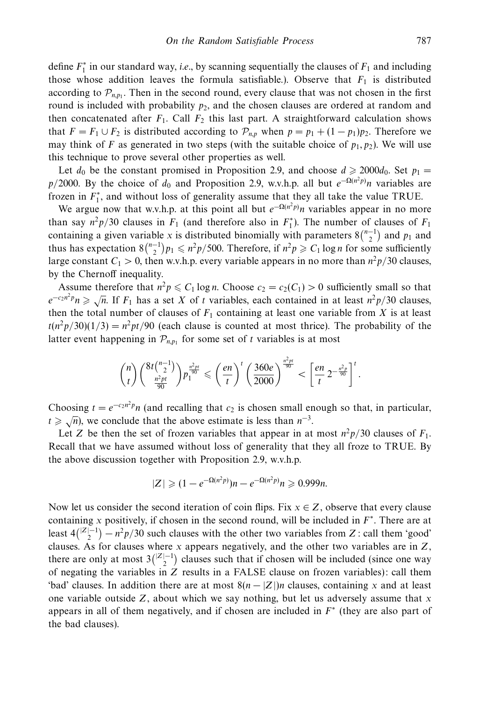define  $F_1^*$  in our standard way, *i.e.*, by scanning sequentially the clauses of  $F_1$  and including those whose addition leaves the formula satisfiable.). Observe that  $F_1$  is distributed according to  $\mathcal{P}_{n,p_1}$ . Then in the second round, every clause that was not chosen in the first round is included with probability  $p_2$ , and the chosen clauses are ordered at random and then concatenated after  $F_1$ . Call  $F_2$  this last part. A straightforward calculation shows that  $F = F_1 \cup F_2$  is distributed according to  $\mathcal{P}_{n,p}$  when  $p = p_1 + (1 - p_1)p_2$ . Therefore we may think of *F* as generated in two steps (with the suitable choice of  $p_1, p_2$ ). We will use this technique to prove several other properties as well.

Let  $d_0$  be the constant promised in Proposition 2.9, and choose  $d \ge 2000d_0$ . Set  $p_1 =$ *p/*2000. By the choice of *d*<sub>0</sub> and Proposition 2.9, w.v.h.p. all but  $e^{-\Omega(n^2 p)}n$  variables are frozen in  $F_1^*$ , and without loss of generality assume that they all take the value TRUE.

We argue now that w.v.h.p. at this point all but  $e^{-\Omega(n^2 p)}n$  variables appear in no more than say  $n^2p/30$  clauses in  $F_1$  (and therefore also in  $F_1^*$ ). The number of clauses of  $F_1$ containing a given variable *x* is distributed binomially with parameters  $8\binom{n-1}{2}$  and  $p_1$  and thus has expectation  $8\binom{n-1}{2}p_1 \leq n^2p/500$ . Therefore, if  $n^2p \geq C_1 \log n$  for some sufficiently large constant  $C_1 > 0$ , then w.v.h.p. every variable appears in no more than  $n^2 p/30$  clauses, by the Chernoff inequality.

Assume therefore that  $n^2p \leq C_1 \log n$ . Choose  $c_2 = c_2(C_1) > 0$  sufficiently small so that  $e^{-c_2n^2p}n \ge \sqrt{n}$ . If *F*<sub>1</sub> has a set *X* of *t* variables, each contained in at least  $n^2p/30$  clauses, then the total number of clauses of  $F_1$  containing at least one variable from  $X$  is at least  $t(n^2p/30)(1/3) = n^2pt/90$  (each clause is counted at most thrice). The probability of the latter event happening in  $\mathcal{P}_{n,p_1}$  for some set of *t* variables is at most

$$
\binom{n}{t}\binom{8t\binom{n-1}{2}}{\frac{n^2pt}{90}}p_1^{\frac{n^2pt}{90}}\leqslant \left(\frac{en}{t}\right)^t\left(\frac{360e}{2000}\right)^{\frac{n^2pt}{90}}<\left[\frac{en}{t}\,2^{-\frac{n^2p}{90}}\right]^t.
$$

Choosing  $t = e^{-c_2 n^2 p} n$  (and recalling that  $c_2$  is chosen small enough so that, in particular,  $t \geq \sqrt{n}$ , we conclude that the above estimate is less than  $n^{-3}$ .

Let *Z* be then the set of frozen variables that appear in at most  $n^2p/30$  clauses of  $F_1$ . Recall that we have assumed without loss of generality that they all froze to TRUE. By the above discussion together with Proposition 2.9, w.v.h.p.

$$
|Z| \geq (1 - e^{-\Omega(n^2 p)})n - e^{-\Omega(n^2 p)}n \geq 0.999n.
$$

Now let us consider the second iteration of coin flips. Fix  $x \in Z$ , observe that every clause containing *x* positively, if chosen in the second round, will be included in *F*<sup>∗</sup>. There are at least  $4\binom{|Z|-1}{2} - n^2p/30$  such clauses with the other two variables from *Z*: call them 'good' clauses. As for clauses where *x* appears negatively, and the other two variables are in *Z*, there are only at most  $3\binom{|Z|-1}{2}$  clauses such that if chosen will be included (since one way of negating the variables in *Z* results in a FALSE clause on frozen variables): call them 'bad' clauses. In addition there are at most  $8(n - |Z|)n$  clauses, containing x and at least one variable outside *Z*, about which we say nothing, but let us adversely assume that *x* appears in all of them negatively, and if chosen are included in *F*<sup>∗</sup> (they are also part of the bad clauses).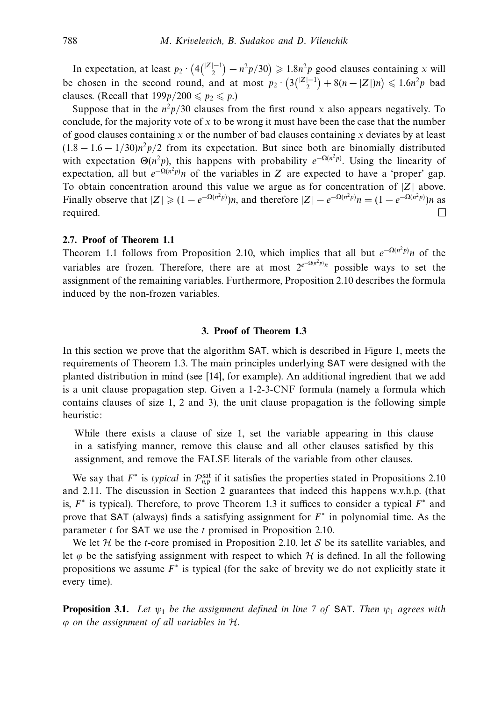In expectation, at least  $p_2 \cdot (4\binom{|Z|-1}{2} - n^2p/30) \ge 1.8n^2p$  good clauses containing *x* will be chosen in the second round, and at most  $p_2 \cdot (3(\frac{|Z|-1}{2}) + 8(n - |Z|)n) \le 1.6n^2p$  bad clauses. (Recall that  $199p/200 \leq p_2 \leq p$ .)

Suppose that in the  $n^2p/30$  clauses from the first round x also appears negatively. To conclude, for the majority vote of *x* to be wrong it must have been the case that the number of good clauses containing *x* or the number of bad clauses containing *x* deviates by at least  $(1.8 - 1.6 - 1/30)n^2p/2$  from its expectation. But since both are binomially distributed with expectation  $\Theta(n^2p)$ , this happens with probability  $e^{-\Omega(n^2p)}$ . Using the linearity of expectation, all but  $e^{-\Omega(n^2 p)}n$  of the variables in *Z* are expected to have a 'proper' gap. To obtain concentration around this value we argue as for concentration of |*Z*| above. Finally observe that  $|Z| \geq (1 - e^{-\Omega(n^2 p)})n$ , and therefore  $|Z| - e^{-\Omega(n^2 p)}n = (1 - e^{-\Omega(n^2 p)})n$  as required.  $\Box$ 

# **2.7. Proof of Theorem 1.1**

Theorem 1.1 follows from Proposition 2.10, which implies that all but  $e^{-\Omega(n^2 p)}n$  of the variables are frozen. Therefore, there are at most  $2^{e^{-\Omega(n^2 p)}n}$  possible ways to set the assignment of the remaining variables. Furthermore, Proposition 2.10 describes the formula induced by the non-frozen variables.

# **3. Proof of Theorem 1.3**

In this section we prove that the algorithm SAT, which is described in Figure 1, meets the requirements of Theorem 1.3. The main principles underlying SAT were designed with the planted distribution in mind (see [14], for example). An additional ingredient that we add is a unit clause propagation step. Given a 1-2-3-CNF formula (namely a formula which contains clauses of size 1, 2 and 3), the unit clause propagation is the following simple heuristic:

While there exists a clause of size 1, set the variable appearing in this clause in a satisfying manner, remove this clause and all other clauses satisfied by this assignment, and remove the FALSE literals of the variable from other clauses.

We say that  $F^*$  is *typical* in  $\mathcal{P}_{n,p}^{\text{sat}}$  if it satisfies the properties stated in Propositions 2.10 and 2.11. The discussion in Section 2 guarantees that indeed this happens w.v.h.p. (that is, *F*<sup>∗</sup> is typical). Therefore, to prove Theorem 1.3 it suffices to consider a typical *F*<sup>∗</sup> and prove that SAT (always) finds a satisfying assignment for *F*<sup>∗</sup> in polynomial time. As the parameter *t* for SAT we use the *t* promised in Proposition 2.10.

We let  $H$  be the *t*-core promised in Proposition 2.10, let  $S$  be its satellite variables, and let  $\varphi$  be the satisfying assignment with respect to which  $H$  is defined. In all the following propositions we assume *F*<sup>∗</sup> is typical (for the sake of brevity we do not explicitly state it every time).

**Proposition 3.1.** Let *ψ*<sup>1</sup> be the assignment defined in line 7 of SAT. Then *ψ*<sup>1</sup> agrees with *ϕ* on the assignment of all variables in H.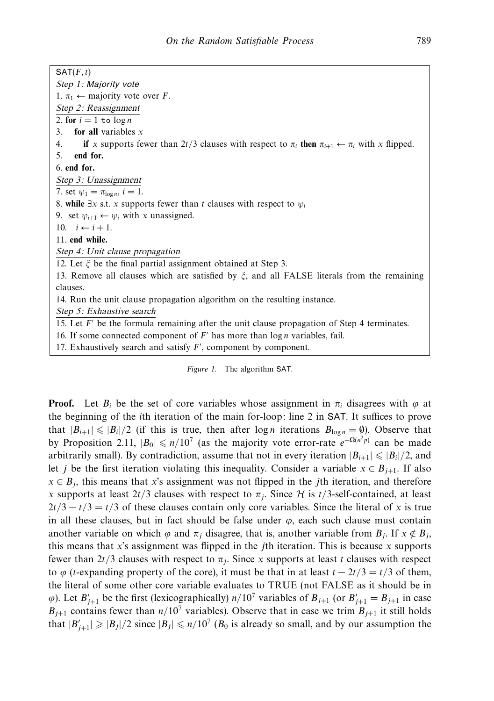$SAT(F, t)$ *Step 1:* Majority vote 1.  $\pi_1 \leftarrow$  majority vote over *F*. *Step 2: Reassignment* 2. **for**  $i = 1$  **to**  $\log n$ 3. **for all** variables *x* 4. **if** *x* supports fewer than 2*t/*3 clauses with respect to  $\pi_i$  then  $\pi_{i+1} \leftarrow \pi_i$  with *x* flipped. 5. **end for.** 6. **end for.** *Step 3: Unassignment* 7. set  $\psi_1 = \pi_{\log n}$ ,  $i = 1$ . 8. **while**  $\exists x$  s.t. *x* supports fewer than *t* clauses with respect to  $\psi_i$ 9. set  $\psi_{i+1} \leftarrow \psi_i$  with *x* unassigned. 10.  $i \leftarrow i + 1$ . 11. **end while.** *Step 4: Unit clause propagation* 12. Let *ξ* be the final partial assignment obtained at Step 3. 13. Remove all clauses which are satisfied by *ξ*, and all FALSE literals from the remaining clauses. 14. Run the unit clause propagation algorithm on the resulting instance. *Step 5: Exhaustive search* 15. Let  $F'$  be the formula remaining after the unit clause propagation of Step 4 terminates. 16. If some connected component of  $F'$  has more than  $\log n$  variables, fail. 17. Exhaustively search and satisfy *F'*, component by component.

Figure 1. The algorithm SAT.

**Proof.** Let  $B_i$  be the set of core variables whose assignment in  $\pi_i$  disagrees with  $\varphi$  at the beginning of the *i*th iteration of the main for-loop: line 2 in SAT. It suffices to prove that  $|B_{i+1}| \leq |B_i|/2$  (if this is true, then after  $\log n$  iterations  $B_{\log n} = \emptyset$ ). Observe that by Proposition 2.11,  $|B_0| \le n/10^7$  (as the majority vote error-rate  $e^{-\Omega(n^2 p)}$  can be made arbitrarily small). By contradiction, assume that not in every iteration  $|B_{i+1}| \leq |B_i|/2$ , and let *j* be the first iteration violating this inequality. Consider a variable  $x \in B_{j+1}$ . If also  $x \in B_i$ , this means that *x*'s assignment was not flipped in the *j*th iteration, and therefore *x* supports at least  $2t/3$  clauses with respect to  $\pi_i$ . Since H is  $t/3$ -self-contained, at least  $2t/3 - t/3 = t/3$  of these clauses contain only core variables. Since the literal of *x* is true in all these clauses, but in fact should be false under  $\varphi$ , each such clause must contain another variable on which  $\varphi$  and  $\pi_j$  disagree, that is, another variable from  $B_j$ . If  $x \notin B_j$ , this means that *x*'s assignment was flipped in the *j*th iteration. This is because *x* supports fewer than  $2t/3$  clauses with respect to  $\pi_i$ . Since *x* supports at least *t* clauses with respect to  $\varphi$  (*t*-expanding property of the core), it must be that in at least  $t - 2t/3 = t/3$  of them, the literal of some other core variable evaluates to TRUE (not FALSE as it should be in  $\varphi$ ). Let  $B'_{j+1}$  be the first (lexicographically)  $n/10^7$  variables of  $B_{j+1}$  (or  $B'_{j+1} = B_{j+1}$  in case  $B_{j+1}$  contains fewer than  $n/10^7$  variables). Observe that in case we trim  $B_{j+1}$  it still holds that  $|B'_{j+1}| \geq |B_j|/2$  since  $|B_j| \leq n/10^7$  ( $B_0$  is already so small, and by our assumption the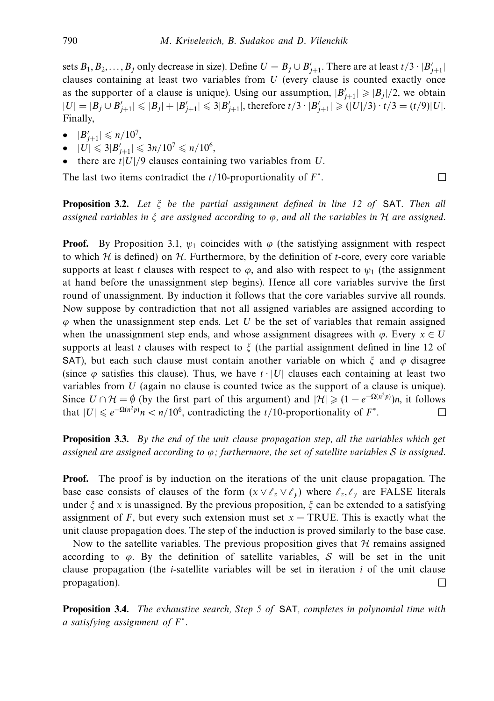sets  $B_1, B_2, \ldots, B_j$  only decrease in size). Define  $U = B_j \cup B'_{j+1}$ . There are at least  $t/3 \cdot |B'_{j+1}|$ clauses containing at least two variables from *U* (every clause is counted exactly once as the supporter of a clause is unique). Using our assumption,  $|B'_{j+1}| \geq |B_j|/2$ , we obtain  $|U| = |B_j \cup B'_{j+1}| \leqslant |B_j| + |B'_{j+1}| \leqslant 3|B'_{j+1}|$ , therefore  $t/3 \cdot |B'_{j+1}| \geqslant (|U|/3) \cdot t/3 = (t/9)|U|$ . Finally,

- $\bullet$   $|B'_{j+1}| \leqslant n/10^7$ ,
- $|U| \leqslant 3|B'_{j+1}| \leqslant 3n/10^7 \leqslant n/10^6,$
- there are *t*|*U*|*/*9 clauses containing two variables from *U*.

The last two items contradict the *t/*10-proportionality of *F*∗.

**Proposition 3.2.** Let *ξ* be the partial assignment defined in line 12 of SAT. Then all assigned variables in *ξ* are assigned according to *ϕ*, and all the variables in H are assigned.

**Proof.** By Proposition 3.1,  $\psi_1$  coincides with  $\varphi$  (the satisfying assignment with respect to which  $H$  is defined) on  $H$ . Furthermore, by the definition of *t*-core, every core variable supports at least *t* clauses with respect to  $\varphi$ , and also with respect to  $\psi_1$  (the assignment at hand before the unassignment step begins). Hence all core variables survive the first round of unassignment. By induction it follows that the core variables survive all rounds. Now suppose by contradiction that not all assigned variables are assigned according to *ϕ* when the unassignment step ends. Let *U* be the set of variables that remain assigned when the unassignment step ends, and whose assignment disagrees with  $\varphi$ . Every  $x \in U$ supports at least *t* clauses with respect to *ξ* (the partial assignment defined in line 12 of SAT), but each such clause must contain another variable on which *ξ* and *ϕ* disagree (since  $\varphi$  satisfies this clause). Thus, we have  $t \cdot |U|$  clauses each containing at least two variables from *U* (again no clause is counted twice as the support of a clause is unique). Since  $U \cap \mathcal{H} = \emptyset$  (by the first part of this argument) and  $|\mathcal{H}| \geq (1 - e^{-\Omega(n^2 p)})n$ , it follows that  $|U| \le e^{-\Omega(n^2 p)} n < n/10^6$ , contradicting the *t*/10-proportionality of  $F^*$ .  $\Box$ 

**Proposition 3.3.** By the end of the unit clause propagation step, all the variables which get assigned are assigned according to *ϕ*; furthermore, the set of satellite variables S is assigned.

**Proof.** The proof is by induction on the iterations of the unit clause propagation. The base case consists of clauses of the form  $(x \vee \ell_z \vee \ell_y)$  where  $\ell_z, \ell_y$  are FALSE literals under *ξ* and *x* is unassigned. By the previous proposition, *ξ* can be extended to a satisfying assignment of *F*, but every such extension must set  $x = TRUE$ . This is exactly what the unit clause propagation does. The step of the induction is proved similarly to the base case.

Now to the satellite variables. The previous proposition gives that  $H$  remains assigned according to *ϕ*. By the definition of satellite variables, S will be set in the unit clause propagation (the *i*-satellite variables will be set in iteration *i* of the unit clause propagation).  $\Box$ 

**Proposition 3.4.** The exhaustive search, Step 5 of SAT, completes in polynomial time with a satisfying assignment of *F*<sup>∗</sup>.

 $\Box$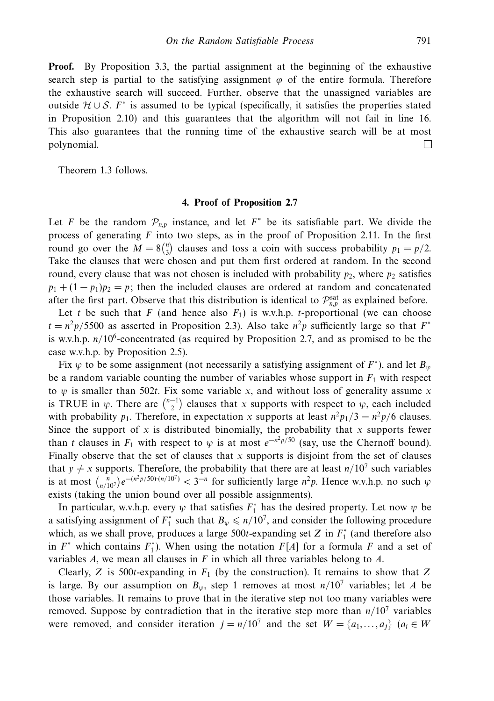**Proof.** By Proposition 3.3, the partial assignment at the beginning of the exhaustive search step is partial to the satisfying assignment  $\varphi$  of the entire formula. Therefore the exhaustive search will succeed. Further, observe that the unassigned variables are outside <sup>H</sup> <sup>∪</sup> <sup>S</sup>. *<sup>F</sup>*<sup>∗</sup> is assumed to be typical (specifically, it satisfies the properties stated in Proposition 2.10) and this guarantees that the algorithm will not fail in line 16. This also guarantees that the running time of the exhaustive search will be at most polynomial. П

Theorem 1.3 follows.

#### **4. Proof of Proposition 2.7**

Let *F* be the random  $\mathcal{P}_{n,p}$  instance, and let  $F^*$  be its satisfiable part. We divide the process of generating *F* into two steps, as in the proof of Proposition 2.11. In the first round go over the  $M = 8\binom{n}{3}$  clauses and toss a coin with success probability  $p_1 = p/2$ . Take the clauses that were chosen and put them first ordered at random. In the second round, every clause that was not chosen is included with probability  $p_2$ , where  $p_2$  satisfies  $p_1 + (1 - p_1)p_2 = p$ ; then the included clauses are ordered at random and concatenated after the first part. Observe that this distribution is identical to  $\mathcal{P}_{n,p}^{\text{sat}}$  as explained before.

Let *t* be such that *F* (and hence also  $F_1$ ) is w.v.h.p. *t*-proportional (we can choose  $t = n^2 p/5500$  as asserted in Proposition 2.3). Also take  $n^2 p$  sufficiently large so that  $F^*$ is w.v.h.p. *n/*106-concentrated (as required by Proposition 2.7, and as promised to be the case w.v.h.p. by Proposition 2.5).

Fix  $\psi$  to be some assignment (not necessarily a satisfying assignment of  $F^*$ ), and let  $B_{\psi}$ be a random variable counting the number of variables whose support in  $F_1$  with respect to *ψ* is smaller than 502*t*. Fix some variable *x*, and without loss of generality assume *x* is TRUE in  $\psi$ . There are  $\binom{n-1}{2}$  clauses that *x* supports with respect to  $\psi$ , each included with probability  $p_1$ . Therefore, in expectation *x* supports at least  $n^2 p_1/3 = n^2 p/6$  clauses. Since the support of  $x$  is distributed binomially, the probability that  $x$  supports fewer than *t* clauses in  $F_1$  with respect to  $\psi$  is at most  $e^{-n^2 p/50}$  (say, use the Chernoff bound). Finally observe that the set of clauses that *x* supports is disjoint from the set of clauses that  $y \neq x$  supports. Therefore, the probability that there are at least  $n/10^7$  such variables is at most  $\binom{n}{n/10^7}e^{-(n^2p/50)\cdot(n/10^7)} < 3^{-n}$  for sufficiently large  $n^2p$ . Hence w.v.h.p. no such  $\psi$ exists (taking the union bound over all possible assignments).

In particular, w.v.h.p. every  $\psi$  that satisfies  $F_1^*$  has the desired property. Let now  $\psi$  be a satisfying assignment of  $F_1^*$  such that  $B_\psi \leq n/10^7$ , and consider the following procedure which, as we shall prove, produces a large  $500t$ -expanding set *Z* in  $F_1^*$  (and therefore also in  $F^*$  which contains  $F_1^*$ ). When using the notation  $F[A]$  for a formula  $F$  and a set of variables *A*, we mean all clauses in *F* in which all three variables belong to *A*.

Clearly, *Z* is 500*t*-expanding in *F*<sup>1</sup> (by the construction). It remains to show that *Z* is large. By our assumption on  $B_{\nu}$ , step 1 removes at most  $n/10^7$  variables; let *A* be those variables. It remains to prove that in the iterative step not too many variables were removed. Suppose by contradiction that in the iterative step more than  $n/10^7$  variables were removed, and consider iteration  $j = n/10^7$  and the set  $W = \{a_1, \ldots, a_i\}$  ( $a_i \in W$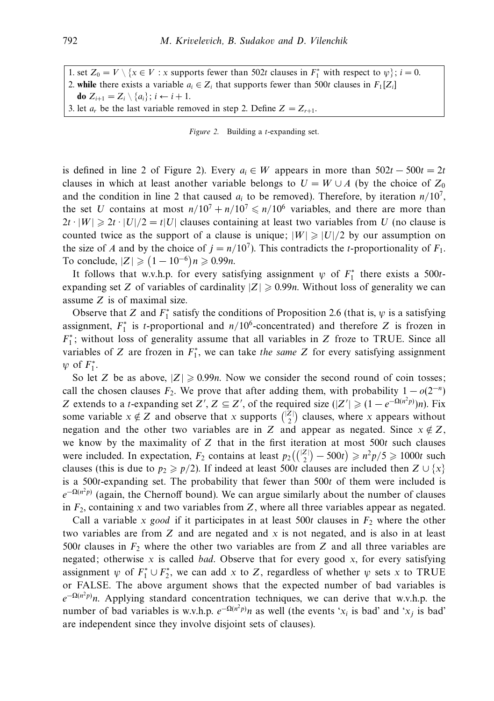1. set  $Z_0 = V \setminus \{x \in V : x \text{ supports fewer than 502}t \text{ clauses in } F_1^* \text{ with respect to } \psi\}; i = 0.$ 2. **while** there exists a variable  $a_i \in Z_i$  that supports fewer than 500t clauses in  $F_1[Z_i]$ **do**  $Z_{i+1} = Z_i \setminus \{a_i\}; i \leftarrow i+1.$ 3. let  $a_r$  be the last variable removed in step 2. Define  $Z = Z_{r+1}$ .

Figure 2. Building a *t*-expanding set.

is defined in line 2 of Figure 2). Every  $a_i \in W$  appears in more than  $502t - 500t = 2t$ clauses in which at least another variable belongs to  $U = W \cup A$  (by the choice of  $Z_0$ ) and the condition in line 2 that caused  $a_i$  to be removed). Therefore, by iteration  $n/10^7$ , the set *U* contains at most  $n/10^7 + n/10^7 \le n/10^6$  variables, and there are more than  $2t \cdot |W| \ge 2t \cdot |U|/2 = t|U|$  clauses containing at least two variables from *U* (no clause is counted twice as the support of a clause is unique;  $|W| \ge |U|/2$  by our assumption on the size of *A* and by the choice of  $j = n/10^7$ . This contradicts the *t*-proportionality of  $F_1$ . To conclude,  $|Z|$  ≥  $(1 - 10^{-6})n$  ≥ 0.99*n*.

It follows that w.v.h.p. for every satisfying assignment  $\psi$  of  $F_1^*$  there exists a 500*t*expanding set *Z* of variables of cardinality  $|Z| \ge 0.99n$ . Without loss of generality we can assume *Z* is of maximal size.

Observe that *Z* and  $F_1^*$  satisfy the conditions of Proposition 2.6 (that is,  $\psi$  is a satisfying assignment,  $F_1^*$  is *t*-proportional and  $n/10^6$ -concentrated) and therefore *Z* is frozen in *F*<sup>∗</sup>; without loss of generality assume that all variables in *Z* froze to TRUE. Since all variables of *Z* are frozen in  $F_1^*$ , we can take the same *Z* for every satisfying assignment  $\psi$  of  $F_1^*$ .

So let *Z* be as above,  $|Z| \ge 0.99n$ . Now we consider the second round of coin tosses; call the chosen clauses  $F_2$ . We prove that after adding them, with probability  $1 - o(2^{-n})$ *Z* extends to a *t*-expanding set *Z*<sup>'</sup>, *Z*  $\subseteq$  *Z*<sup>'</sup>, of the required size ( $|Z'| \geq (1 - e^{-\Omega(n^2 p)})n$ ). Fix some variable  $x \notin Z$  and observe that *x* supports  $\binom{|Z|}{2}$  clauses, where *x* appears without negation and the other two variables are in *Z* and appear as negated. Since  $x \notin Z$ , we know by the maximality of *Z* that in the first iteration at most 500*t* such clauses were included. In expectation,  $F_2$  contains at least  $p_2\left(\binom{|Z|}{2} - 500t\right) \geq n^2p/5 \geq 1000t$  such clauses (this is due to  $p_2 \geq p/2$ ). If indeed at least 500*t* clauses are included then  $Z \cup \{x\}$ is a 500*t*-expanding set. The probability that fewer than 500*t* of them were included is  $e^{-\Omega(n^2 p)}$  (again, the Chernoff bound). We can argue similarly about the number of clauses in  $F_2$ , containing *x* and two variables from *Z*, where all three variables appear as negated.

Call a variable *x* good if it participates in at least 500t clauses in  $F_2$  where the other two variables are from *Z* and are negated and *x* is not negated, and is also in at least 500t clauses in  $F_2$  where the other two variables are from Z and all three variables are negated; otherwise *x* is called bad. Observe that for every good *x*, for every satisfying assignment  $\psi$  of  $F_1^* \cup F_2^*$ , we can add *x* to *Z*, regardless of whether  $\psi$  sets *x* to TRUE or FALSE. The above argument shows that the expected number of bad variables is  $e^{-\Omega(n^2 p)}$ n. Applying standard concentration techniques, we can derive that w.v.h.p. the number of bad variables is w.v.h.p.  $e^{-\Omega(n^2 p)}n$  as well (the events ' $x_i$  is bad' and ' $x_j$  is bad' are independent since they involve disjoint sets of clauses).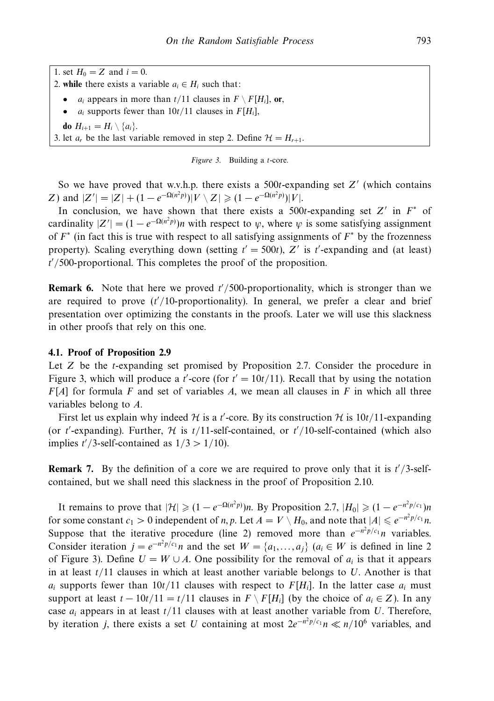1. set  $H_0 = Z$  and  $i = 0$ . 2. **while** there exists a variable  $a_i \in H_i$  such that:  $a_i$  appears in more than  $t/11$  clauses in  $F \setminus F[H_i]$ , or, •  $a_i$  supports fewer than  $10t/11$  clauses in  $F[H_i]$ , **do**  $H_{i+1} = H_i \setminus \{a_i\}.$ 3. let  $a_r$  be the last variable removed in step 2. Define  $\mathcal{H} = H_{r+1}$ .

Figure 3. Building a *t*-core.

So we have proved that w.v.h.p. there exists a 500*t*-expanding set *Z* (which contains *Z*) and  $|Z'| = |Z| + (1 - e^{-\Omega(n^2 p)}) |V \setminus Z| \geq (1 - e^{-\Omega(n^2 p)}) |V|.$ 

In conclusion, we have shown that there exists a 500*t*-expanding set  $Z'$  in  $F^*$  of cardinality  $|Z'| = (1 - e^{-\Omega(n^2 p)})n$  with respect to  $\psi$ , where  $\psi$  is some satisfying assignment of *F*<sup>∗</sup> (in fact this is true with respect to all satisfying assignments of *F*<sup>∗</sup> by the frozenness property). Scaling everything down (setting  $t' = 500t$ ), Z' is  $t'$ -expanding and (at least) *t /*500-proportional. This completes the proof of the proposition.

**Remark 6.** Note that here we proved  $t'/500$ -proportionality, which is stronger than we are required to prove (*t /*10-proportionality). In general, we prefer a clear and brief presentation over optimizing the constants in the proofs. Later we will use this slackness in other proofs that rely on this one.

# **4.1. Proof of Proposition 2.9**

Let *Z* be the *t*-expanding set promised by Proposition 2.7. Consider the procedure in Figure 3, which will produce a *t*'-core (for  $t' = 10t/11$ ). Recall that by using the notation *F*[*A*] for formula *F* and set of variables *A*, we mean all clauses in *F* in which all three variables belong to *A*.

First let us explain why indeed  $H$  is a *t*'-core. By its construction  $H$  is 10*t*/11-expanding (or *t*'-expanding). Further,  $H$  is  $t/11$ -self-contained, or  $t'/10$ -self-contained (which also implies  $t'/3$ -self-contained as  $1/3 > 1/10$ ).

**Remark 7.** By the definition of a core we are required to prove only that it is  $t'/3$ -selfcontained, but we shall need this slackness in the proof of Proposition 2.10.

It remains to prove that  $|\mathcal{H}| \geq (1 - e^{-\Omega(n^2 p)})n$ . By Proposition 2.7,  $|H_0| \geq (1 - e^{-n^2 p/c_1})n$ for some constant  $c_1 > 0$  independent of *n*, *p*. Let  $A = V \setminus H_0$ , and note that  $|A| \leq e^{-n^2 p/c_1} n$ . Suppose that the iterative procedure (line 2) removed more than  $e^{-n^2 p/c_1} n$  variables. Consider iteration  $j = e^{-n^2 p/c_1} n$  and the set  $W = \{a_1, \ldots, a_j\}$   $(a_i \in W$  is defined in line 2 of Figure 3). Define  $U = W \cup A$ . One possibility for the removal of  $a_i$  is that it appears in at least *t/*11 clauses in which at least another variable belongs to *U*. Another is that  $a_i$  supports fewer than  $10t/11$  clauses with respect to  $F[H_i]$ . In the latter case  $a_i$  must support at least  $t - 10t/11 = t/11$  clauses in  $F \setminus F[H_i]$  (by the choice of  $a_i \in Z$ ). In any case *ai* appears in at least *t/*11 clauses with at least another variable from *U*. Therefore, by iteration *j*, there exists a set *U* containing at most  $2e^{-n^2p/c_1}n \ll n/10^6$  variables, and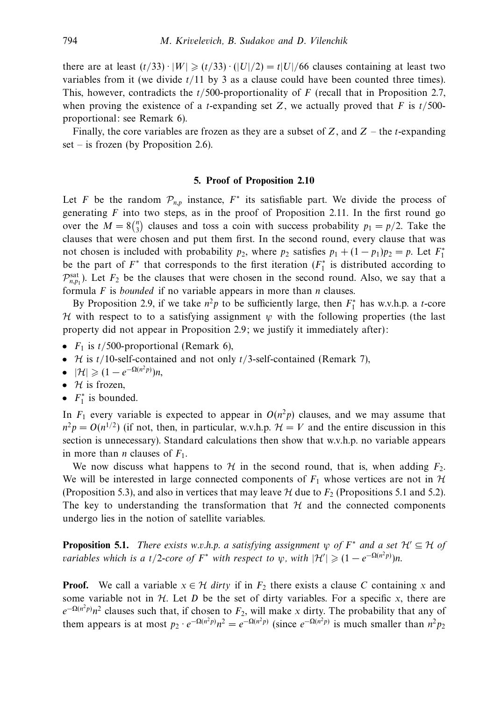there are at least  $(t/33) \cdot |W| \ge (t/33) \cdot (|U|/2) = t|U|/66$  clauses containing at least two variables from it (we divide *t/*11 by 3 as a clause could have been counted three times). This, however, contradicts the *t/*500-proportionality of *F* (recall that in Proposition 2.7, when proving the existence of a *t*-expanding set *Z*, we actually proved that *F* is  $t/500$ proportional: see Remark 6).

Finally, the core variables are frozen as they are a subset of *Z*, and *Z* – the *t*-expanding set – is frozen (by Proposition 2.6).

### **5. Proof of Proposition 2.10**

Let *F* be the random  $\mathcal{P}_{n,p}$  instance,  $F^*$  its satisfiable part. We divide the process of generating  $F$  into two steps, as in the proof of Proposition 2.11. In the first round go over the  $M = 8\binom{n}{3}$  clauses and toss a coin with success probability  $p_1 = p/2$ . Take the clauses that were chosen and put them first. In the second round, every clause that was not chosen is included with probability  $p_2$ , where  $p_2$  satisfies  $p_1 + (1 - p_1)p_2 = p$ . Let  $F_1^*$ be the part of  $F^*$  that corresponds to the first iteration  $(F_1^*)$  is distributed according to  $\mathcal{P}_{n,p_1}^{\text{sat}}$ ). Let  $F_2$  be the clauses that were chosen in the second round. Also, we say that a formula *F* is bounded if no variable appears in more than *n* clauses.

By Proposition 2.9, if we take  $n^2p$  to be sufficiently large, then  $F_1^*$  has w.v.h.p. a *t*-core H with respect to to a satisfying assignment  $\psi$  with the following properties (the last property did not appear in Proposition 2.9; we justify it immediately after):

- $F_1$  is  $t/500$ -proportional (Remark 6),
- H is *t/*10-self-contained and not only *t/*3-self-contained (Remark 7),
- |*H*| ≥ (1 − *e*<sup>-Ω(*n*<sup>2</sup>*p*)</sup>)*n*,
- $H$  is frozen,
- $F_1^*$  is bounded.

In  $F_1$  every variable is expected to appear in  $O(n^2p)$  clauses, and we may assume that  $n^2p = O(n^{1/2})$  (if not, then, in particular, w.v.h.p.  $\mathcal{H} = V$  and the entire discussion in this section is unnecessary). Standard calculations then show that w.v.h.p. no variable appears in more than *n* clauses of  $F_1$ .

We now discuss what happens to  $H$  in the second round, that is, when adding  $F_2$ . We will be interested in large connected components of  $F_1$  whose vertices are not in  $H$ (Proposition 5.3), and also in vertices that may leave  $H$  due to  $F_2$  (Propositions 5.1 and 5.2). The key to understanding the transformation that  $H$  and the connected components undergo lies in the notion of satellite variables.

**Proposition 5.1.** There exists w.v.h.p. a satisfying assignment  $\psi$  of  $F^*$  and a set  $\mathcal{H}' \subseteq \mathcal{H}$  of variables which is a t/2-core of  $F^*$  with respect to  $\psi$ , with  $|\mathcal{H}'| \geqslant (1 - e^{-\Omega(n^2 p)})n$ .

**Proof.** We call a variable  $x \in \mathcal{H}$  dirty if in  $F_2$  there exists a clause C containing x and some variable not in  $H$ . Let  $D$  be the set of dirty variables. For a specific  $x$ , there are  $e^{-\Omega(n^2 p)}n^2$  clauses such that, if chosen to  $F_2$ , will make *x* dirty. The probability that any of them appears is at most  $p_2 \cdot e^{-\Omega(n^2 p)} n^2 = e^{-\Omega(n^2 p)}$  (since  $e^{-\Omega(n^2 p)}$  is much smaller than  $n^2 p_2$ )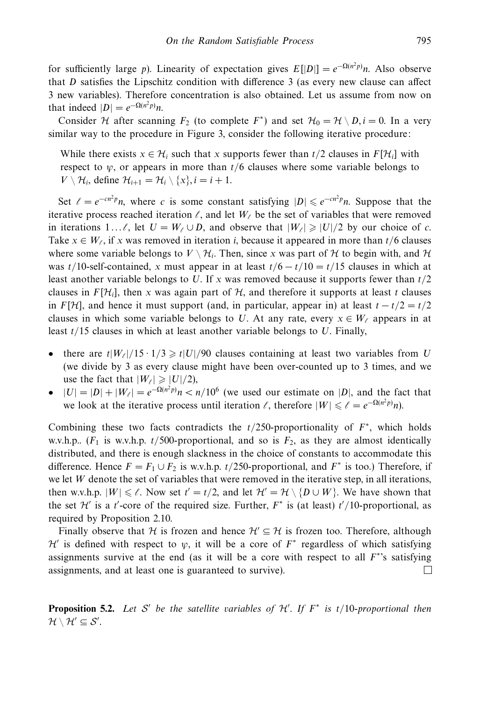for sufficiently large *p*). Linearity of expectation gives  $E[|D|] = e^{-\Omega(n^2 p)}n$ . Also observe that *D* satisfies the Lipschitz condition with difference 3 (as every new clause can affect 3 new variables). Therefore concentration is also obtained. Let us assume from now on that indeed  $|D| = e^{-\Omega(n^2 p)}n$ .

Consider *H* after scanning  $F_2$  (to complete  $F^*$ ) and set  $H_0 = H \setminus D, i = 0$ . In a very similar way to the procedure in Figure 3, consider the following iterative procedure:

While there exists  $x \in H_i$  such that x supports fewer than  $t/2$  clauses in  $F[H_i]$  with respect to  $\psi$ , or appears in more than  $t/6$  clauses where some variable belongs to  $V \setminus \mathcal{H}_i$ , define  $\mathcal{H}_{i+1} = \mathcal{H}_i \setminus \{x\}, i = i + 1$ .

Set  $\ell = e^{-cn^2 p}n$ , where *c* is some constant satisfying  $|D| \leq e^{-cn^2 p}n$ . Suppose that the iterative process reached iteration  $\ell$ , and let  $W_{\ell}$  be the set of variables that were removed in iterations 1... $\ell$ , let  $U = W_{\ell} \cup D$ , and observe that  $|W_{\ell}| \geq |U|/2$  by our choice of *c*. Take  $x \in W_\ell$ , if x was removed in iteration *i*, because it appeared in more than  $t/6$  clauses where some variable belongs to  $V \setminus H_i$ . Then, since x was part of H to begin with, and H was  $t/10$ -self-contained, *x* must appear in at least  $t/6 - t/10 = t/15$  clauses in which at least another variable belongs to *U*. If *x* was removed because it supports fewer than *t/*2 clauses in  $F[\mathcal{H}_i]$ , then *x* was again part of  $\mathcal{H}$ , and therefore it supports at least *t* clauses in *F*[ $H$ ], and hence it must support (and, in particular, appear in) at least  $t - t/2 = t/2$ clauses in which some variable belongs to *U*. At any rate, every  $x \in W_\ell$  appears in at least *t/*15 clauses in which at least another variable belongs to *U*. Finally,

- there are  $t|W_{\ell}|/15 \cdot 1/3 \ge t|U|/90$  clauses containing at least two variables from *U* (we divide by 3 as every clause might have been over-counted up to 3 times, and we use the fact that  $|W_{\ell}| \geq |U|/2$ ),
- $|U| = |D| + |W_{\ell}| = e^{-\Omega(n^2 p)} n < n/10^6$  (we used our estimate on |D|, and the fact that we look at the iterative process until iteration  $\ell$ , therefore  $|W| \leq \ell = e^{-\Omega(n^2 p)}n$ ).

Combining these two facts contradicts the *t/*250-proportionality of *F*<sup>∗</sup>, which holds w.v.h.p..  $(F_1$  is w.v.h.p.  $t/500$ -proportional, and so is  $F_2$ , as they are almost identically distributed, and there is enough slackness in the choice of constants to accommodate this difference. Hence  $F = F_1 \cup F_2$  is w.v.h.p. *t*/250-proportional, and  $F^*$  is too.) Therefore, if we let *W* denote the set of variables that were removed in the iterative step, in all iterations, then w.v.h.p.  $|W| \le \ell$ . Now set  $t' = t/2$ , and let  $\mathcal{H}' = \mathcal{H} \setminus \{D \cup W\}$ . We have shown that the set  $\mathcal{H}'$  is a *t*'-core of the required size. Further,  $F^*$  is (at least)  $t'/10$ -proportional, as required by Proposition 2.10.

Finally observe that H is frozen and hence  $\mathcal{H}' \subseteq \mathcal{H}$  is frozen too. Therefore, although  $\mathcal{H}'$  is defined with respect to  $\psi$ , it will be a core of  $F^*$  regardless of which satisfying assignments survive at the end (as it will be a core with respect to all  $F^*$ 's satisfying assignments, and at least one is guaranteed to survive).  $\Box$ 

**Proposition 5.2.** Let S' be the satellite variables of  $\mathcal{H}'$ . If  $F^*$  is  $t/10$ -proportional then  $\mathcal{H} \setminus \mathcal{H}' \subseteq \mathcal{S}'.$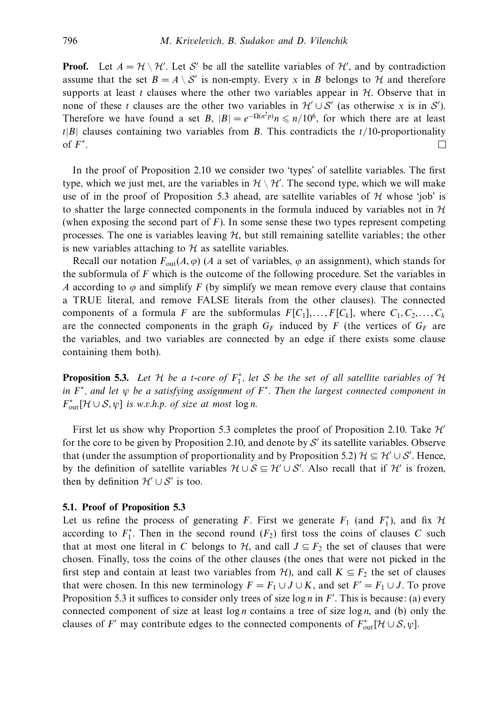**Proof.** Let  $A = \mathcal{H} \setminus \mathcal{H}'$ . Let S' be all the satellite variables of  $\mathcal{H}'$ , and by contradiction assume that the set  $B = A \setminus S'$  is non-empty. Every *x* in *B* belongs to *H* and therefore supports at least *t* clauses where the other two variables appear in  $H$ . Observe that in none of these *t* clauses are the other two variables in  $\mathcal{H}' \cup \mathcal{S}'$  (as otherwise *x* is in  $\mathcal{S}'$ ). Therefore we have found a set *B*,  $|B| = e^{-\Omega(n^2 p)} n \le n/10^6$ , for which there are at least *t*|*B*| clauses containing two variables from *B*. This contradicts the *t/*10-proportionality of *F*∗.  $\Box$ 

In the proof of Proposition 2.10 we consider two 'types' of satellite variables. The first type, which we just met, are the variables in  $\mathcal{H} \setminus \mathcal{H}'$ . The second type, which we will make use of in the proof of Proposition 5.3 ahead, are satellite variables of  $H$  whose 'job' is to shatter the large connected components in the formula induced by variables not in  $H$ (when exposing the second part of *F*). In some sense these two types represent competing processes. The one is variables leaving  $H$ , but still remaining satellite variables; the other is new variables attaching to  $H$  as satellite variables.

Recall our notation  $F_{\text{out}}(A, \varphi)$  (*A* a set of variables,  $\varphi$  an assignment), which stands for the subformula of *F* which is the outcome of the following procedure. Set the variables in *A* according to  $\varphi$  and simplify *F* (by simplify we mean remove every clause that contains a TRUE literal, and remove FALSE literals from the other clauses). The connected components of a formula *F* are the subformulas  $F[C_1], \ldots, F[C_k]$ , where  $C_1, C_2, \ldots, C_k$ are the connected components in the graph  $G_F$  induced by *F* (the vertices of  $G_F$  are the variables, and two variables are connected by an edge if there exists some clause containing them both).

**Proposition 5.3.** Let  $H$  be a *t*-core of  $F_1^*$ , let S be the set of all satellite variables of  $H$ in  $F^*$ , and let  $\psi$  be a satisfying assignment of  $F^*$ . Then the largest connected component in  $F_{\text{out}}^*[\mathcal{H}\cup\mathcal{S},\psi]$  is w.v.h.p. of size at most  $\log n$ .

First let us show why Proportion 5.3 completes the proof of Proposition 2.10. Take  $\mathcal{H}'$ for the core to be given by Proposition 2.10, and denote by  $S'$  its satellite variables. Observe that (under the assumption of proportionality and by Proposition 5.2)  $\mathcal{H} \subseteq \mathcal{H}' \cup \mathcal{S}'$ . Hence, by the definition of satellite variables  $\mathcal{H} \cup \mathcal{S} \subseteq \mathcal{H}' \cup \mathcal{S}'$ . Also recall that if  $\mathcal{H}'$  is frozen, then by definition  $\mathcal{H}' \cup \mathcal{S}'$  is too.

### **5.1. Proof of Proposition 5.3**

Let us refine the process of generating *F*. First we generate  $F_1$  (and  $F_1^*$ ), and fix  $H_1$ according to  $F_1^*$ . Then in the second round  $(F_2)$  first toss the coins of clauses C such that at most one literal in *C* belongs to  $H$ , and call  $J \subseteq F_2$  the set of clauses that were chosen. Finally, toss the coins of the other clauses (the ones that were not picked in the first step and contain at least two variables from  $H$ ), and call  $K \subseteq F_2$  the set of clauses that were chosen. In this new terminology  $F = F_1 \cup J \cup K$ , and set  $F' = F_1 \cup J$ . To prove Proposition 5.3 it suffices to consider only trees of size  $\log n$  in *F'*. This is because: (a) every connected component of size at least log *n* contains a tree of size log *n*, and (b) only the clauses of *F'* may contribute edges to the connected components of  $F^*_{\text{out}}[\mathcal{H} \cup \mathcal{S}, \psi]$ .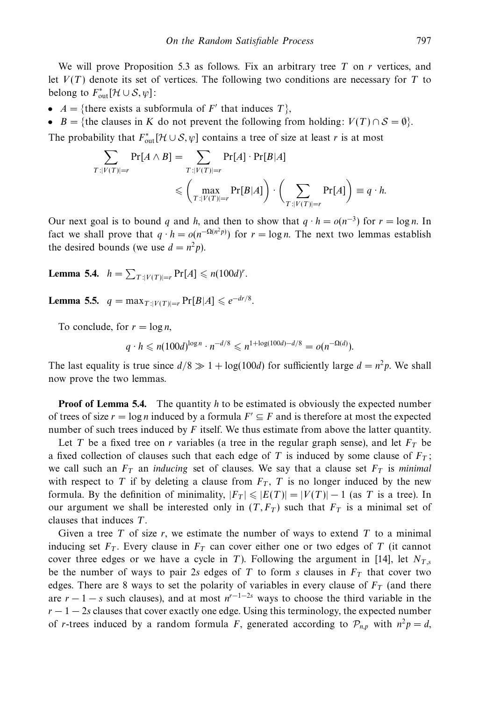We will prove Proposition 5.3 as follows. Fix an arbitrary tree *T* on *r* vertices, and let  $V(T)$  denote its set of vertices. The following two conditions are necessary for  $T$  to belong to  $F_{\text{out}}^*[\mathcal{H} \cup \mathcal{S}, \psi]$ :

- $A = \{\text{there exists a subformula of } F' \text{ that induces } T\},\$
- *B* = {the clauses in *K* do not prevent the following from holding:  $V(T) \cap S = \emptyset$ }.

The probability that  $F_{\text{out}}^*[\mathcal{H} \cup \mathcal{S}, \psi]$  contains a tree of size at least *r* is at most

$$
\sum_{T:|V(T)|=r} \Pr[A \wedge B] = \sum_{T:|V(T)|=r} \Pr[A] \cdot \Pr[B|A]
$$
  
\$\leqslant \left(\max\_{T:|V(T)|=r} \Pr[B|A]\right) \cdot \left(\sum\_{T:|V(T)|=r} \Pr[A]\right) \equiv q \cdot h\$.

Our next goal is to bound *q* and *h*, and then to show that  $q \cdot h = o(n^{-3})$  for  $r = \log n$ . In fact we shall prove that  $q \cdot h = o(n^{-\Omega(n^2 p)})$  for  $r = \log n$ . The next two lemmas establish the desired bounds (we use  $d = n^2 p$ ).

**Lemma 5.4.**  $h = \sum_{T:|V(T)|=r} \Pr[A] \leq n(100d)^r$ .

**Lemma 5.5.**  $q = \max_{T: |V(T)|=r} \Pr[B|A] \leq e^{-dr/8}$ .

To conclude, for  $r = \log n$ ,

$$
q \cdot h \leq n(100d)^{\log n} \cdot n^{-d/8} \leq n^{1+\log(100d)-d/8} = o(n^{-\Omega(d)}).
$$

The last equality is true since  $d/8 \gg 1 + \log(100d)$  for sufficiently large  $d = n^2p$ . We shall now prove the two lemmas.

**Proof of Lemma 5.4.** The quantity *h* to be estimated is obviously the expected number of trees of size  $r = \log n$  induced by a formula  $F' \subseteq F$  and is therefore at most the expected number of such trees induced by *F* itself. We thus estimate from above the latter quantity.

Let *T* be a fixed tree on *r* variables (a tree in the regular graph sense), and let  $F_T$  be a fixed collection of clauses such that each edge of  $T$  is induced by some clause of  $F_T$ ; we call such an  $F_T$  an *inducing* set of clauses. We say that a clause set  $F_T$  is minimal with respect to *T* if by deleting a clause from  $F_T$ , *T* is no longer induced by the new formula. By the definition of minimality,  $|F_T| \leqslant |E(T)| = |V(T)| - 1$  (as T is a tree). In our argument we shall be interested only in  $(T, F_T)$  such that  $F_T$  is a minimal set of clauses that induces *T*.

Given a tree *T* of size *r*, we estimate the number of ways to extend *T* to a minimal inducing set  $F_T$ . Every clause in  $F_T$  can cover either one or two edges of T (it cannot cover three edges or we have a cycle in *T*). Following the argument in [14], let  $N_T$ , be the number of ways to pair 2*s* edges of *T* to form *s* clauses in  $F<sub>T</sub>$  that cover two edges. There are 8 ways to set the polarity of variables in every clause of  $F<sub>T</sub>$  (and there are  $r - 1 - s$  such clauses), and at most  $n^{r-1-2s}$  ways to choose the third variable in the  $r - 1 - 2s$  clauses that cover exactly one edge. Using this terminology, the expected number of *r*-trees induced by a random formula *F*, generated according to  $\mathcal{P}_{n,p}$  with  $n^2p = d$ ,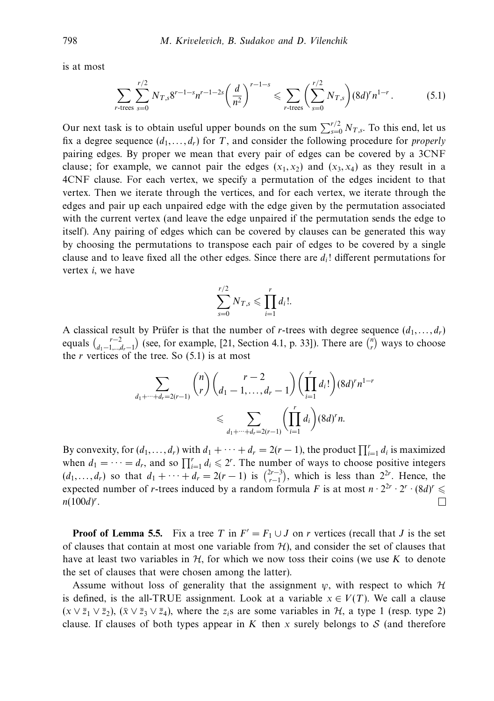is at most

$$
\sum_{r\text{-trees}} \sum_{s=0}^{r/2} N_{T,s} 8^{r-1-s} n^{r-1-2s} \left(\frac{d}{n^2}\right)^{r-1-s} \leqslant \sum_{r\text{-trees}} \left(\sum_{s=0}^{r/2} N_{T,s}\right) (8d)^r n^{1-r} \,. \tag{5.1}
$$

Our next task is to obtain useful upper bounds on the sum  $\sum_{s=0}^{r/2} N_{T,s}$ . To this end, let us fix a degree sequence  $(d_1, \ldots, d_r)$  for *T*, and consider the following procedure for *properly* pairing edges. By proper we mean that every pair of edges can be covered by a 3CNF clause; for example, we cannot pair the edges  $(x_1, x_2)$  and  $(x_3, x_4)$  as they result in a 4CNF clause. For each vertex, we specify a permutation of the edges incident to that vertex. Then we iterate through the vertices, and for each vertex, we iterate through the edges and pair up each unpaired edge with the edge given by the permutation associated with the current vertex (and leave the edge unpaired if the permutation sends the edge to itself). Any pairing of edges which can be covered by clauses can be generated this way by choosing the permutations to transpose each pair of edges to be covered by a single clause and to leave fixed all the other edges. Since there are *di*! different permutations for vertex *i*, we have

$$
\sum_{s=0}^{r/2} N_{T,s} \leqslant \prod_{i=1}^r d_i!.
$$

A classical result by Prüfer is that the number of *r*-trees with degree sequence  $(d_1, \ldots, d_r)$ equals  $\binom{r-2}{d_1-1,\dots,d_r-1}$  (see, for example, [21, Section 4.1, p. 33]). There are  $\binom{n}{r}$  ways to choose the  $r$  vertices of the tree. So  $(5.1)$  is at most

$$
\sum_{d_1+\dots+d_r=2(r-1)} {n \choose r} {r-2 \choose d_1-1,\dots,d_r-1} \left( \prod_{i=1}^r d_i! \right) (8d)^r n^{1-r}
$$
  
\$\leqslant \sum\_{d\_1+\dots+d\_r=2(r-1)} {r \choose i=1} d\_i} (8d)^r n.

By convexity, for  $(d_1, ..., d_r)$  with  $d_1 + \cdots + d_r = 2(r - 1)$ , the product  $\prod_{i=1}^r d_i$  is maximized when  $d_1 = \cdots = d_r$ , and so  $\prod_{i=1}^r d_i \leq 2^r$ . The number of ways to choose positive integers  $(d_1, ..., d_r)$  so that  $d_1 + \cdots + d_r = 2(r - 1)$  is  $\binom{2r-3}{r-1}$ , which is less than  $2^{2r}$ . Hence, the expected number of *r*-trees induced by a random formula *F* is at most  $n \cdot 2^{2r} \cdot 2^r \cdot (8d)^r \leq$ *n*(100*d*) *r* .  $\Box$ 

**Proof of Lemma 5.5.** Fix a tree *T* in  $F' = F_1 \cup J$  on *r* vertices (recall that *J* is the set of clauses that contain at most one variable from  $H$ ), and consider the set of clauses that have at least two variables in  $H$ , for which we now toss their coins (we use K to denote the set of clauses that were chosen among the latter).

Assume without loss of generality that the assignment  $\psi$ , with respect to which  $\mathcal H$ is defined, is the all-TRUE assignment. Look at a variable  $x \in V(T)$ . We call a clause  $(x \vee \overline{z}_1 \vee \overline{z}_2)$ ,  $(\overline{x} \vee \overline{z}_3 \vee \overline{z}_4)$ , where the  $z_i$ s are some variables in  $H$ , a type 1 (resp. type 2) clause. If clauses of both types appear in  $K$  then  $x$  surely belongs to  $S$  (and therefore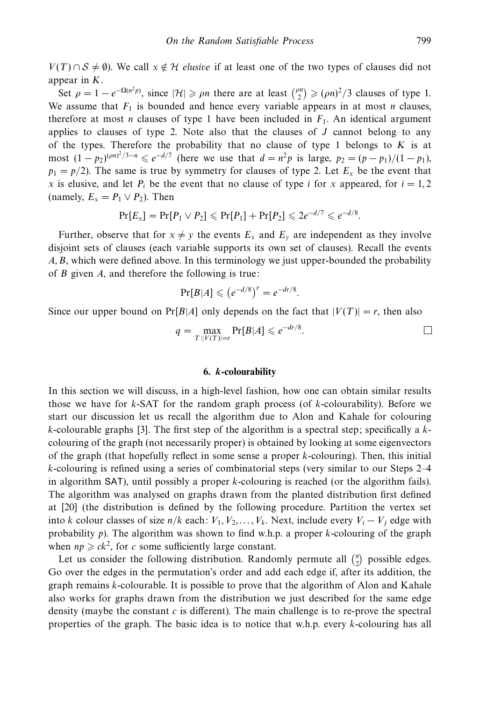$V(T) \cap S \neq \emptyset$ ). We call  $x \notin H$  *elusive* if at least one of the two types of clauses did not appear in *K*.

Set  $\rho = 1 - e^{-\Omega(n^2 p)}$ , since  $|\mathcal{H}| \ge \rho n$  there are at least  ${p \choose 2} \ge (\rho n)^2/3$  clauses of type 1. We assume that  $F_1$  is bounded and hence every variable appears in at most *n* clauses, therefore at most *n* clauses of type 1 have been included in  $F_1$ . An identical argument applies to clauses of type 2. Note also that the clauses of  $J$  cannot belong to any of the types. Therefore the probability that no clause of type 1 belongs to *K* is at most  $(1 - p_2)^{(pn)^2/3 - n} \le e^{-d/7}$  (here we use that  $d = n^2p$  is large,  $p_2 = (p - p_1)/(1 - p_1)$ ,  $p_1 = p/2$ ). The same is true by symmetry for clauses of type 2. Let  $E_x$  be the event that *x* is elusive, and let  $P_i$  be the event that no clause of type *i* for *x* appeared, for  $i = 1, 2$ (namely,  $E_x = P_1 \vee P_2$ ). Then

$$
Pr[E_x] = Pr[P_1 \vee P_2] \leqslant Pr[P_1] + Pr[P_2] \leqslant 2e^{-d/7} \leqslant e^{-d/8}.
$$

Further, observe that for  $x \neq y$  the events  $E_x$  and  $E_y$  are independent as they involve disjoint sets of clauses (each variable supports its own set of clauses). Recall the events *A, B*, which were defined above. In this terminology we just upper-bounded the probability of *B* given *A*, and therefore the following is true:

$$
\Pr[B|A] \leqslant (e^{-d/8})^r = e^{-dr/8}.
$$

Since our upper bound on  $Pr[B|A]$  only depends on the fact that  $|V(T)| = r$ , then also

$$
q = \max_{T:|V(T)|=r} \Pr[B|A] \leqslant e^{-dr/8}.
$$

# **6.** *k***-colourability**

In this section we will discuss, in a high-level fashion, how one can obtain similar results those we have for *k*-SAT for the random graph process (of *k*-colourability). Before we start our discussion let us recall the algorithm due to Alon and Kahale for colouring *k*-colourable graphs [3]. The first step of the algorithm is a spectral step; specifically a *k*colouring of the graph (not necessarily proper) is obtained by looking at some eigenvectors of the graph (that hopefully reflect in some sense a proper *k*-colouring). Then, this initial *k*-colouring is refined using a series of combinatorial steps (very similar to our Steps 2–4 in algorithm SAT), until possibly a proper *k*-colouring is reached (or the algorithm fails). The algorithm was analysed on graphs drawn from the planted distribution first defined at [20] (the distribution is defined by the following procedure. Partition the vertex set into *k* colour classes of size *n/k* each:  $V_1, V_2, \ldots, V_k$ . Next, include every  $V_i - V_j$  edge with probability *p*). The algorithm was shown to find w.h.p. a proper *k*-colouring of the graph when  $np \geq ck^2$ , for *c* some sufficiently large constant.

Let us consider the following distribution. Randomly permute all  $\binom{n}{2}$  possible edges. Go over the edges in the permutation's order and add each edge if, after its addition, the graph remains *k*-colourable. It is possible to prove that the algorithm of Alon and Kahale also works for graphs drawn from the distribution we just described for the same edge density (maybe the constant *c* is different). The main challenge is to re-prove the spectral properties of the graph. The basic idea is to notice that w.h.p. every *k*-colouring has all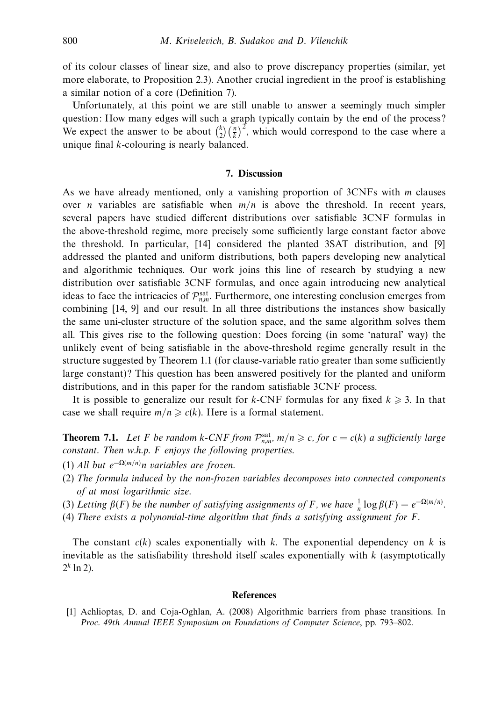of its colour classes of linear size, and also to prove discrepancy properties (similar, yet more elaborate, to Proposition 2.3). Another crucial ingredient in the proof is establishing a similar notion of a core (Definition 7).

Unfortunately, at this point we are still unable to answer a seemingly much simpler question: How many edges will such a graph typically contain by the end of the process? We expect the answer to be about  $\binom{k}{2} \left(\frac{n}{k}\right)^2$ , which would correspond to the case where a unique final *k*-colouring is nearly balanced.

### **7. Discussion**

As we have already mentioned, only a vanishing proportion of 3CNFs with *m* clauses over *n* variables are satisfiable when  $m/n$  is above the threshold. In recent years, several papers have studied different distributions over satisfiable 3CNF formulas in the above-threshold regime, more precisely some sufficiently large constant factor above the threshold. In particular, [14] considered the planted 3SAT distribution, and [9] addressed the planted and uniform distributions, both papers developing new analytical and algorithmic techniques. Our work joins this line of research by studying a new distribution over satisfiable 3CNF formulas, and once again introducing new analytical ideas to face the intricacies of  $\mathcal{P}_{n,m}^{\text{sat}}$ . Furthermore, one interesting conclusion emerges from combining [14, 9] and our result. In all three distributions the instances show basically the same uni-cluster structure of the solution space, and the same algorithm solves them all. This gives rise to the following question: Does forcing (in some 'natural' way) the unlikely event of being satisfiable in the above-threshold regime generally result in the structure suggested by Theorem 1.1 (for clause-variable ratio greater than some sufficiently large constant)? This question has been answered positively for the planted and uniform distributions, and in this paper for the random satisfiable 3CNF process.

It is possible to generalize our result for  $k$ -CNF formulas for any fixed  $k \geq 3$ . In that case we shall require  $m/n \ge c(k)$ . Here is a formal statement.

**Theorem 7.1.** Let *F* be random *k*-CNF from  $\mathcal{P}_{n,m}^{\text{sat}}$ ,  $m/n \ge c$ , for  $c = c(k)$  a sufficiently large constant. Then w.h.p. *F* enjoys the following properties.

- (1) All but *e*<sup>−</sup>Ω(*m/n*) *n* variables are frozen.
- (2) The formula induced by the non-frozen variables decomposes into connected components of at most logarithmic size.
- (3) Letting  $\beta(F)$  be the number of satisfying assignments of *F*, we have  $\frac{1}{n} \log \beta(F) = e^{-\Omega(m/n)}$ .
- (4) There exists a polynomial-time algorithm that finds a satisfying assignment for *F*.

The constant  $c(k)$  scales exponentially with  $k$ . The exponential dependency on  $k$  is inevitable as the satisfiability threshold itself scales exponentially with *k* (asymptotically  $2^k$  ln 2).

#### **References**

[1] Achlioptas, D. and Coja-Oghlan, A. (2008) Algorithmic barriers from phase transitions. In Proc. 49th Annual IEEE Symposium on Foundations of Computer Science, pp. 793–802.